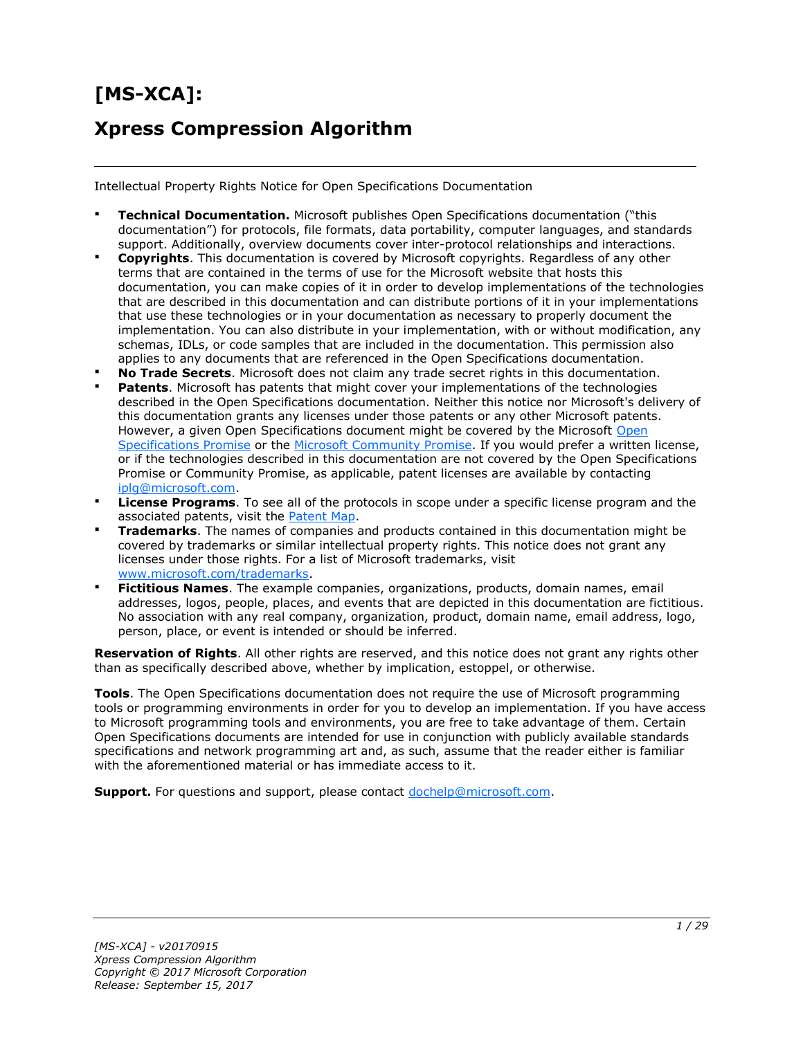# **[MS-XCA]: Xpress Compression Algorithm**

Intellectual Property Rights Notice for Open Specifications Documentation

- **Technical Documentation.** Microsoft publishes Open Specifications documentation ("this documentation") for protocols, file formats, data portability, computer languages, and standards support. Additionally, overview documents cover inter-protocol relationships and interactions.
- **Copyrights**. This documentation is covered by Microsoft copyrights. Regardless of any other terms that are contained in the terms of use for the Microsoft website that hosts this documentation, you can make copies of it in order to develop implementations of the technologies that are described in this documentation and can distribute portions of it in your implementations that use these technologies or in your documentation as necessary to properly document the implementation. You can also distribute in your implementation, with or without modification, any schemas, IDLs, or code samples that are included in the documentation. This permission also applies to any documents that are referenced in the Open Specifications documentation.
- **No Trade Secrets**. Microsoft does not claim any trade secret rights in this documentation.
- **Patents**. Microsoft has patents that might cover your implementations of the technologies described in the Open Specifications documentation. Neither this notice nor Microsoft's delivery of this documentation grants any licenses under those patents or any other Microsoft patents. However, a given [Open](http://go.microsoft.com/fwlink/?LinkId=214445) Specifications document might be covered by the Microsoft Open [Specifications Promise](http://go.microsoft.com/fwlink/?LinkId=214445) or the [Microsoft Community Promise.](http://go.microsoft.com/fwlink/?LinkId=214448) If you would prefer a written license, or if the technologies described in this documentation are not covered by the Open Specifications Promise or Community Promise, as applicable, patent licenses are available by contacting [iplg@microsoft.com.](mailto:iplg@microsoft.com)
- **License Programs**. To see all of the protocols in scope under a specific license program and the associated patents, visit the [Patent Map.](https://msdn.microsoft.com/en-us/openspecifications/dn750984)
- **Trademarks**. The names of companies and products contained in this documentation might be covered by trademarks or similar intellectual property rights. This notice does not grant any licenses under those rights. For a list of Microsoft trademarks, visit [www.microsoft.com/trademarks.](http://www.microsoft.com/trademarks)
- **Fictitious Names**. The example companies, organizations, products, domain names, email addresses, logos, people, places, and events that are depicted in this documentation are fictitious. No association with any real company, organization, product, domain name, email address, logo, person, place, or event is intended or should be inferred.

**Reservation of Rights**. All other rights are reserved, and this notice does not grant any rights other than as specifically described above, whether by implication, estoppel, or otherwise.

**Tools**. The Open Specifications documentation does not require the use of Microsoft programming tools or programming environments in order for you to develop an implementation. If you have access to Microsoft programming tools and environments, you are free to take advantage of them. Certain Open Specifications documents are intended for use in conjunction with publicly available standards specifications and network programming art and, as such, assume that the reader either is familiar with the aforementioned material or has immediate access to it.

**Support.** For questions and support, please contact [dochelp@microsoft.com.](mailto:dochelp@microsoft.com)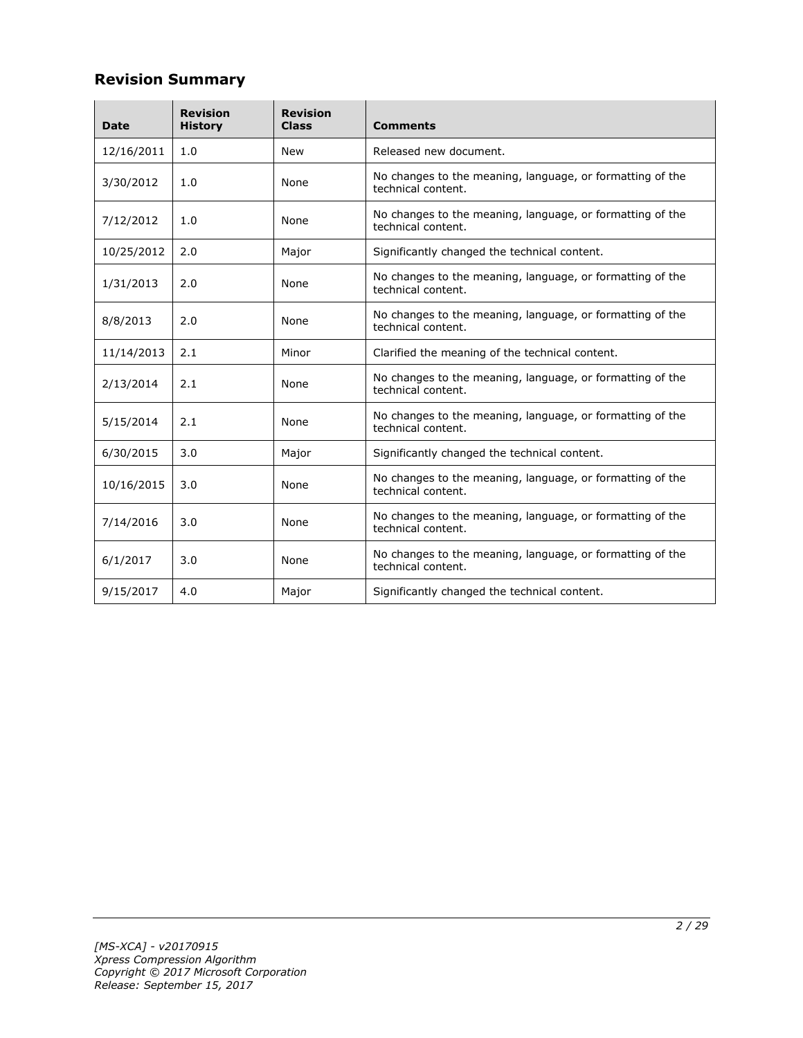# **Revision Summary**

| <b>Date</b> | <b>Revision</b><br><b>History</b> | <b>Revision</b><br><b>Class</b> | <b>Comments</b>                                                                 |  |
|-------------|-----------------------------------|---------------------------------|---------------------------------------------------------------------------------|--|
| 12/16/2011  | 1.0                               | <b>New</b>                      | Released new document.                                                          |  |
| 3/30/2012   | 1.0                               | None                            | No changes to the meaning, language, or formatting of the<br>technical content. |  |
| 7/12/2012   | 1.0                               | None                            | No changes to the meaning, language, or formatting of the<br>technical content. |  |
| 10/25/2012  | 2.0                               | Major                           | Significantly changed the technical content.                                    |  |
| 1/31/2013   | 2.0                               | None                            | No changes to the meaning, language, or formatting of the<br>technical content. |  |
| 8/8/2013    | 2.0                               | None                            | No changes to the meaning, language, or formatting of the<br>technical content. |  |
| 11/14/2013  | 2.1                               | Minor                           | Clarified the meaning of the technical content.                                 |  |
| 2/13/2014   | 2.1                               | None                            | No changes to the meaning, language, or formatting of the<br>technical content. |  |
| 5/15/2014   | 2.1                               | None                            | No changes to the meaning, language, or formatting of the<br>technical content. |  |
| 6/30/2015   | 3.0                               | Major                           | Significantly changed the technical content.                                    |  |
| 10/16/2015  | 3.0                               | None                            | No changes to the meaning, language, or formatting of the<br>technical content. |  |
| 7/14/2016   | 3.0                               | None                            | No changes to the meaning, language, or formatting of the<br>technical content. |  |
| 6/1/2017    | 3.0                               | None                            | No changes to the meaning, language, or formatting of the<br>technical content. |  |
| 9/15/2017   | 4.0                               | Major                           | Significantly changed the technical content.                                    |  |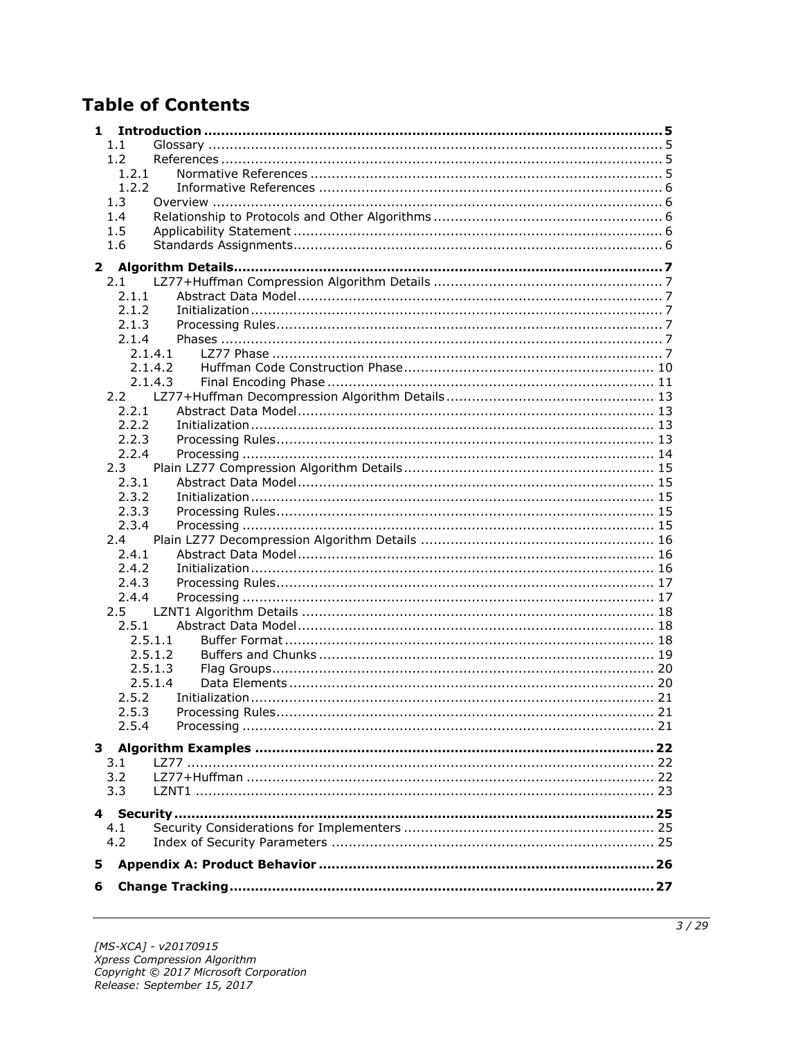# **Table of Contents**

| 1            |              |         |  |
|--------------|--------------|---------|--|
|              | 1.1          |         |  |
|              | 1.2          |         |  |
|              | 1.2.1        |         |  |
|              | 1.2.2        |         |  |
|              | 1.3          |         |  |
|              | 1.4          |         |  |
|              | 1.5          |         |  |
|              | 1.6          |         |  |
| $\mathbf{2}$ |              |         |  |
|              | 2.1          |         |  |
|              | 2.1.1        |         |  |
|              | 2.1.2        |         |  |
|              | 2.1.3        |         |  |
|              | 2.1.4        |         |  |
|              |              | 2.1.4.1 |  |
|              |              | 2.1.4.2 |  |
|              |              | 2.1.4.3 |  |
|              |              |         |  |
|              | 2.2.1        |         |  |
|              | 2.2.2        |         |  |
|              | 2.2.3        |         |  |
|              | 2.2.4        |         |  |
|              | 2.3          |         |  |
|              | 2.3.1        |         |  |
|              | 2.3.2        |         |  |
|              | 2.3.3        |         |  |
|              | 2.3.4        |         |  |
|              | 2.4          |         |  |
|              | 2.4.1        |         |  |
|              | 2.4.2        |         |  |
|              | 2.4.3        |         |  |
|              | 2.4.4<br>2.5 |         |  |
|              | 2.5.1        |         |  |
|              |              | 2.5.1.1 |  |
|              |              | 2.5.1.2 |  |
|              |              | 2.5.1.3 |  |
|              |              | 2.5.1.4 |  |
|              | 2.5.2        |         |  |
|              | 2.5.3        |         |  |
|              | 2.5.4        |         |  |
|              |              |         |  |
|              |              |         |  |
|              | 3.1<br>3.2   |         |  |
|              | 3.3          |         |  |
|              |              |         |  |
|              |              |         |  |
|              | 4.1          |         |  |
|              | 4.2          |         |  |
| 5            |              |         |  |
|              |              |         |  |
| 6            |              |         |  |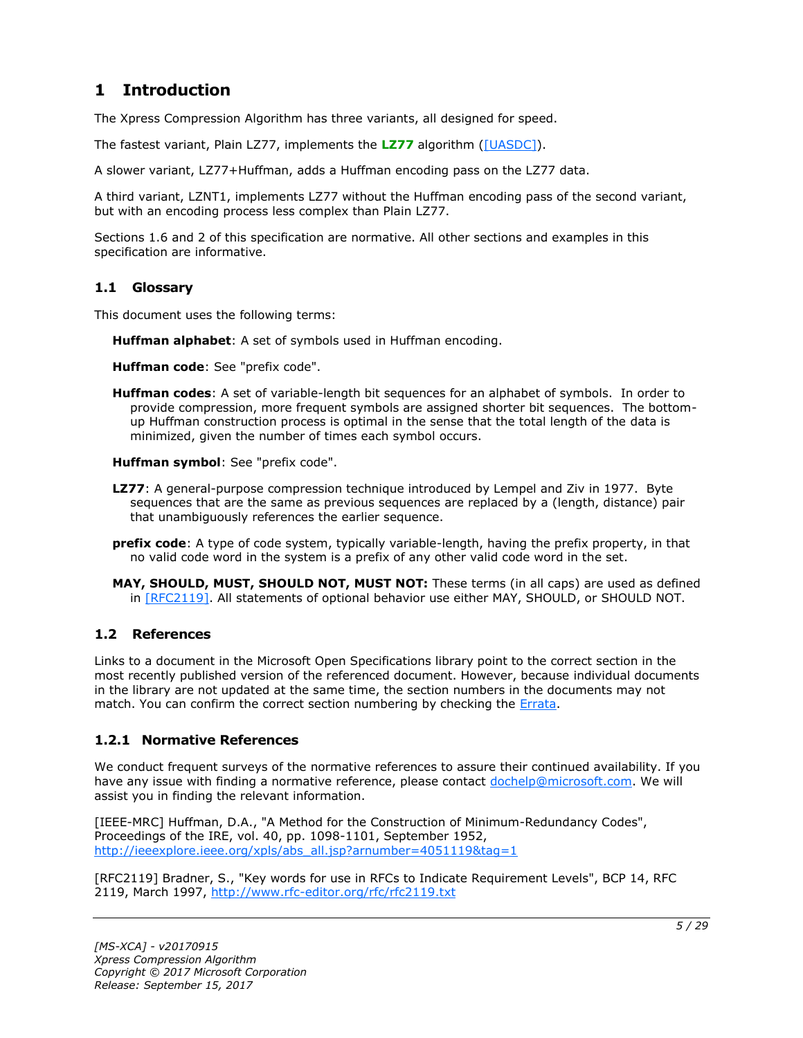# <span id="page-4-0"></span>**1 Introduction**

The Xpress Compression Algorithm has three variants, all designed for speed.

The fastest variant, Plain LZ77, implements the **[LZ77](#page-4-4)** algorithm [\(\[UASDC\]\)](https://go.microsoft.com/fwlink/?LinkId=90549).

A slower variant, LZ77+Huffman, adds a Huffman encoding pass on the LZ77 data.

A third variant, LZNT1, implements LZ77 without the Huffman encoding pass of the second variant, but with an encoding process less complex than Plain LZ77.

Sections 1.6 and 2 of this specification are normative. All other sections and examples in this specification are informative.

### <span id="page-4-1"></span>**1.1 Glossary**

This document uses the following terms:

<span id="page-4-7"></span>**Huffman alphabet**: A set of symbols used in Huffman encoding.

<span id="page-4-8"></span>**Huffman code**: See "prefix code".

<span id="page-4-6"></span>**Huffman codes**: A set of variable-length bit sequences for an alphabet of symbols. In order to provide compression, more frequent symbols are assigned shorter bit sequences. The bottomup Huffman construction process is optimal in the sense that the total length of the data is minimized, given the number of times each symbol occurs.

<span id="page-4-9"></span>**Huffman symbol**: See "prefix code".

- <span id="page-4-4"></span>**LZ77**: A general-purpose compression technique introduced by Lempel and Ziv in 1977. Byte sequences that are the same as previous sequences are replaced by a (length, distance) pair that unambiguously references the earlier sequence.
- <span id="page-4-5"></span>**prefix code**: A type of code system, typically variable-length, having the prefix property, in that no valid code word in the system is a prefix of any other valid code word in the set.
- **MAY, SHOULD, MUST, SHOULD NOT, MUST NOT:** These terms (in all caps) are used as defined in [\[RFC2119\].](https://go.microsoft.com/fwlink/?LinkId=90317) All statements of optional behavior use either MAY, SHOULD, or SHOULD NOT.

# <span id="page-4-2"></span>**1.2 References**

Links to a document in the Microsoft Open Specifications library point to the correct section in the most recently published version of the referenced document. However, because individual documents in the library are not updated at the same time, the section numbers in the documents may not match. You can confirm the correct section numbering by checking the [Errata.](https://go.microsoft.com/fwlink/?linkid=850906)

# <span id="page-4-3"></span>**1.2.1 Normative References**

We conduct frequent surveys of the normative references to assure their continued availability. If you have any issue with finding a normative reference, please contact [dochelp@microsoft.com.](mailto:dochelp@microsoft.com) We will assist you in finding the relevant information.

[IEEE-MRC] Huffman, D.A., "A Method for the Construction of Minimum-Redundancy Codes", Proceedings of the IRE, vol. 40, pp. 1098-1101, September 1952, [http://ieeexplore.ieee.org/xpls/abs\\_all.jsp?arnumber=4051119&tag=1](https://go.microsoft.com/fwlink/?LinkId=227659)

[RFC2119] Bradner, S., "Key words for use in RFCs to Indicate Requirement Levels", BCP 14, RFC 2119, March 1997, [http://www.rfc-editor.org/rfc/rfc2119.txt](https://go.microsoft.com/fwlink/?LinkId=90317)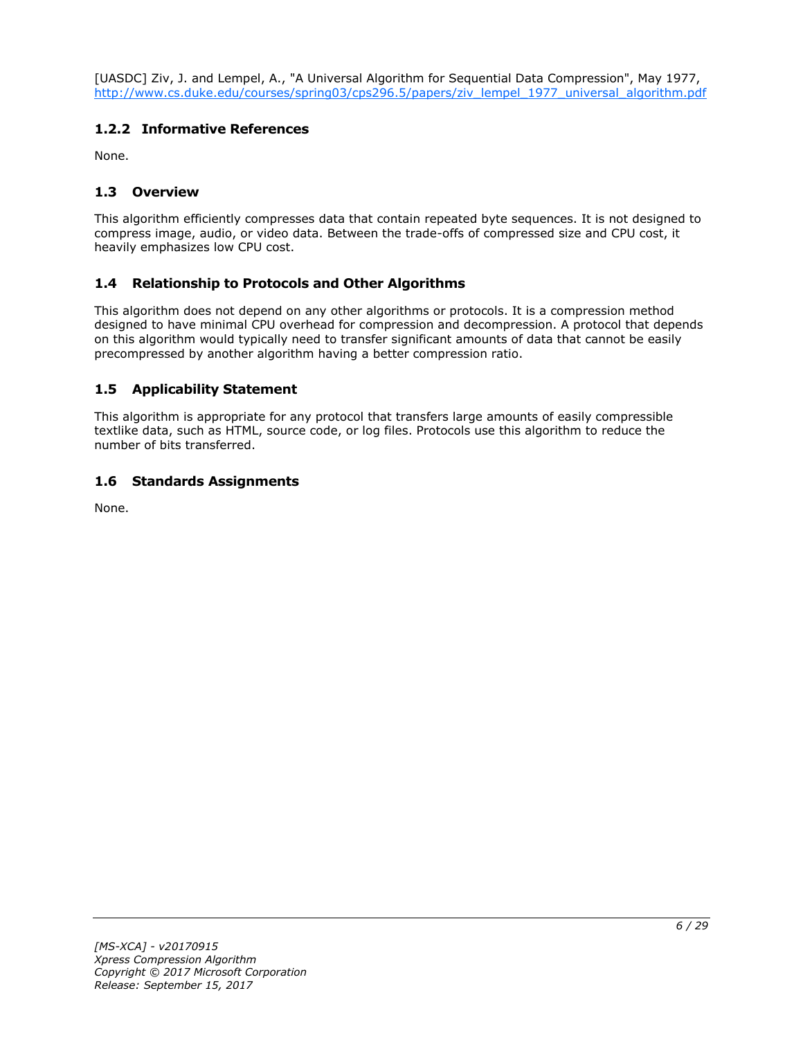[UASDC] Ziv, J. and Lempel, A., "A Universal Algorithm for Sequential Data Compression", May 1977, [http://www.cs.duke.edu/courses/spring03/cps296.5/papers/ziv\\_lempel\\_1977\\_universal\\_algorithm.pdf](https://go.microsoft.com/fwlink/?LinkId=90549)

# <span id="page-5-0"></span>**1.2.2 Informative References**

None.

# <span id="page-5-1"></span>**1.3 Overview**

This algorithm efficiently compresses data that contain repeated byte sequences. It is not designed to compress image, audio, or video data. Between the trade-offs of compressed size and CPU cost, it heavily emphasizes low CPU cost.

# <span id="page-5-2"></span>**1.4 Relationship to Protocols and Other Algorithms**

This algorithm does not depend on any other algorithms or protocols. It is a compression method designed to have minimal CPU overhead for compression and decompression. A protocol that depends on this algorithm would typically need to transfer significant amounts of data that cannot be easily precompressed by another algorithm having a better compression ratio.

# <span id="page-5-3"></span>**1.5 Applicability Statement**

This algorithm is appropriate for any protocol that transfers large amounts of easily compressible textlike data, such as HTML, source code, or log files. Protocols use this algorithm to reduce the number of bits transferred.

# <span id="page-5-4"></span>**1.6 Standards Assignments**

None.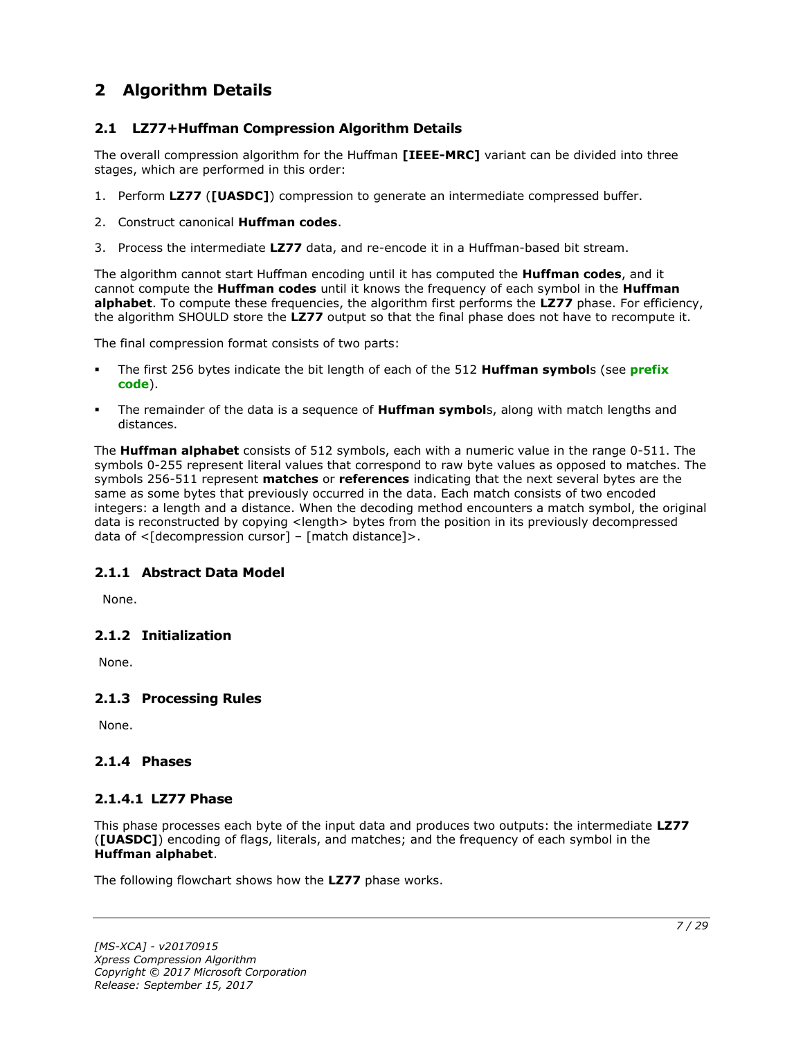# <span id="page-6-0"></span>**2 Algorithm Details**

# <span id="page-6-1"></span>**2.1 LZ77+Huffman Compression Algorithm Details**

The overall compression algorithm for the Huffman **[IEEE-MRC]** variant can be divided into three stages, which are performed in this order:

- 1. Perform **LZ77** (**[UASDC]**) compression to generate an intermediate compressed buffer.
- 2. Construct canonical **Huffman codes**.
- 3. Process the intermediate **LZ77** data, and re-encode it in a Huffman-based bit stream.

The algorithm cannot start Huffman encoding until it has computed the **Huffman codes**, and it cannot compute the **Huffman codes** until it knows the frequency of each symbol in the **Huffman alphabet**. To compute these frequencies, the algorithm first performs the **LZ77** phase. For efficiency, the algorithm SHOULD store the **LZ77** output so that the final phase does not have to recompute it.

The final compression format consists of two parts:

- The first 256 bytes indicate the bit length of each of the 512 **Huffman symbol**s (see **[prefix](#page-4-5)  [code](#page-4-5)**).
- The remainder of the data is a sequence of **Huffman symbol**s, along with match lengths and distances.

The **Huffman alphabet** consists of 512 symbols, each with a numeric value in the range 0-511. The symbols 0-255 represent literal values that correspond to raw byte values as opposed to matches. The symbols 256-511 represent **matches** or **references** indicating that the next several bytes are the same as some bytes that previously occurred in the data. Each match consists of two encoded integers: a length and a distance. When the decoding method encounters a match symbol, the original data is reconstructed by copying <length> bytes from the position in its previously decompressed data of  $\leq$ [decompression cursor] – [match distance]>.

# <span id="page-6-2"></span>**2.1.1 Abstract Data Model**

None.

# <span id="page-6-3"></span>**2.1.2 Initialization**

None.

# <span id="page-6-4"></span>**2.1.3 Processing Rules**

None.

#### <span id="page-6-5"></span>**2.1.4 Phases**

#### <span id="page-6-6"></span>**2.1.4.1 LZ77 Phase**

This phase processes each byte of the input data and produces two outputs: the intermediate **LZ77** (**[UASDC]**) encoding of flags, literals, and matches; and the frequency of each symbol in the **Huffman alphabet**.

The following flowchart shows how the **LZ77** phase works.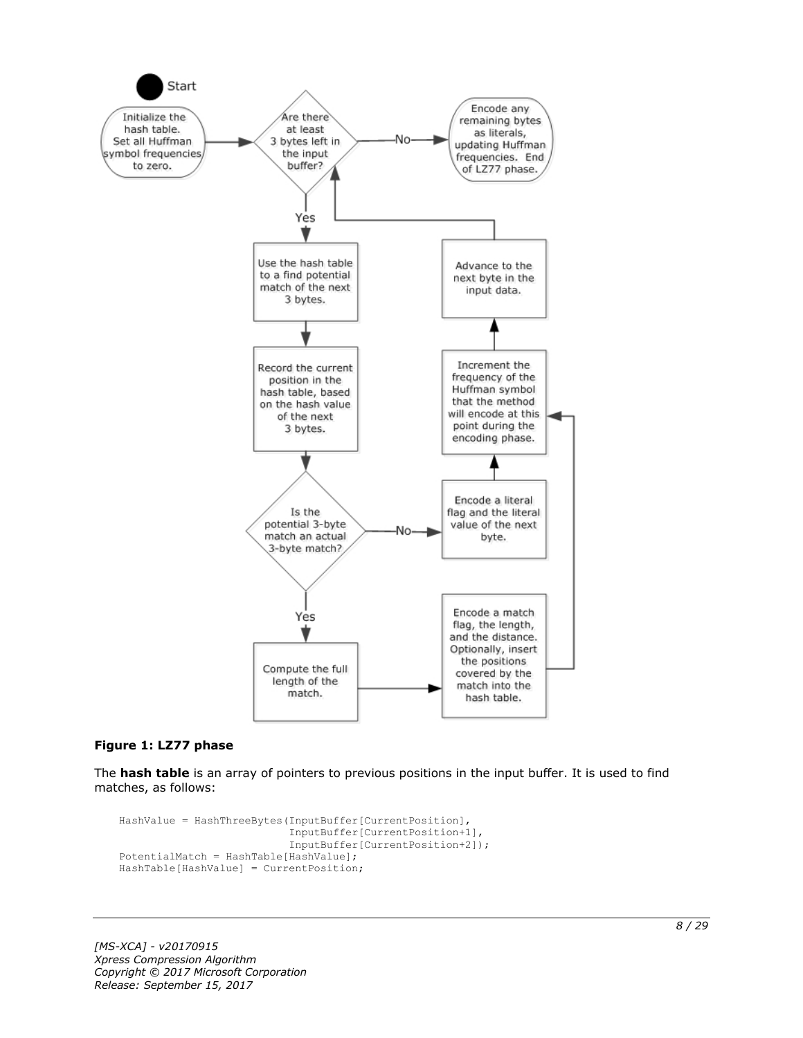

#### **Figure 1: LZ77 phase**

The **hash table** is an array of pointers to previous positions in the input buffer. It is used to find matches, as follows:

```
HashValue = HashThreeBytes(InputBuffer[CurrentPosition],
                            InputBuffer[CurrentPosition+1],
                           InputBuffer[CurrentPosition+2]);
PotentialMatch = HashTable[HashValue];
HashTable[HashValue] = CurrentPosition;
```
*[MS-XCA] - v20170915 Xpress Compression Algorithm Copyright © 2017 Microsoft Corporation Release: September 15, 2017*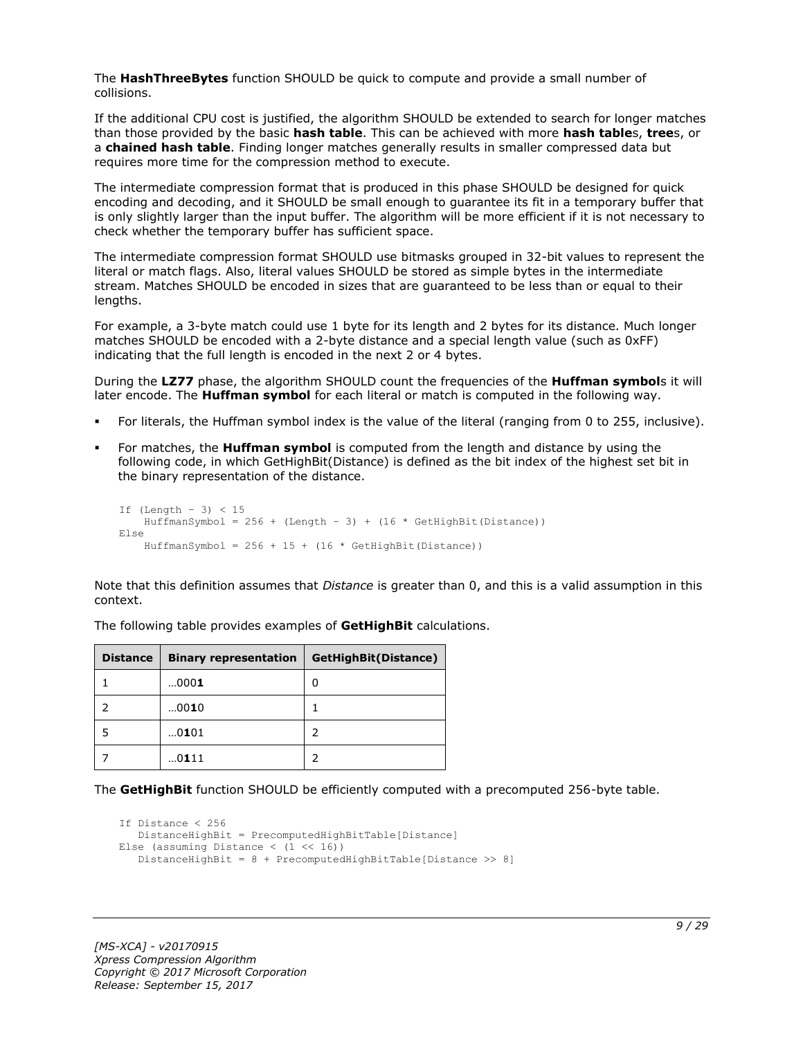The **HashThreeBytes** function SHOULD be quick to compute and provide a small number of collisions.

If the additional CPU cost is justified, the algorithm SHOULD be extended to search for longer matches than those provided by the basic **hash table**. This can be achieved with more **hash table**s, **tree**s, or a **chained hash table**. Finding longer matches generally results in smaller compressed data but requires more time for the compression method to execute.

The intermediate compression format that is produced in this phase SHOULD be designed for quick encoding and decoding, and it SHOULD be small enough to guarantee its fit in a temporary buffer that is only slightly larger than the input buffer. The algorithm will be more efficient if it is not necessary to check whether the temporary buffer has sufficient space.

The intermediate compression format SHOULD use bitmasks grouped in 32-bit values to represent the literal or match flags. Also, literal values SHOULD be stored as simple bytes in the intermediate stream. Matches SHOULD be encoded in sizes that are guaranteed to be less than or equal to their lengths.

For example, a 3-byte match could use 1 byte for its length and 2 bytes for its distance. Much longer matches SHOULD be encoded with a 2-byte distance and a special length value (such as 0xFF) indicating that the full length is encoded in the next 2 or 4 bytes.

During the **LZ77** phase, the algorithm SHOULD count the frequencies of the **Huffman symbol**s it will later encode. The **Huffman symbol** for each literal or match is computed in the following way.

- For literals, the Huffman symbol index is the value of the literal (ranging from 0 to 255, inclusive).
- For matches, the **Huffman symbol** is computed from the length and distance by using the following code, in which GetHighBit(Distance) is defined as the bit index of the highest set bit in the binary representation of the distance.

```
If (Lenqth - 3) < 15HuffmanSymbol = 256 + (Length - 3) + (16 * GetHighBit(Distance))Else
    HuffmanSymbol = 256 + 15 + (16 * \text{GetHighBit}(\text{Distance}))
```
Note that this definition assumes that *Distance* is greater than 0, and this is a valid assumption in this context.

| <b>Distance</b> | <b>Binary representation</b> | GetHighBit(Distance) |
|-----------------|------------------------------|----------------------|
|                 | 0001                         | 0                    |
|                 | 0010                         |                      |
|                 | 0101                         |                      |
|                 | 0111                         |                      |

The following table provides examples of **GetHighBit** calculations.

The **GetHighBit** function SHOULD be efficiently computed with a precomputed 256-byte table.

```
If Distance < 256
    DistanceHighBit = PrecomputedHighBitTable[Distance]
Else (assuming Distance \langle (1 \langle 16))
    DistanceHighBit = 8 + PrecomputedHighBitTable[Distance >> 8]
```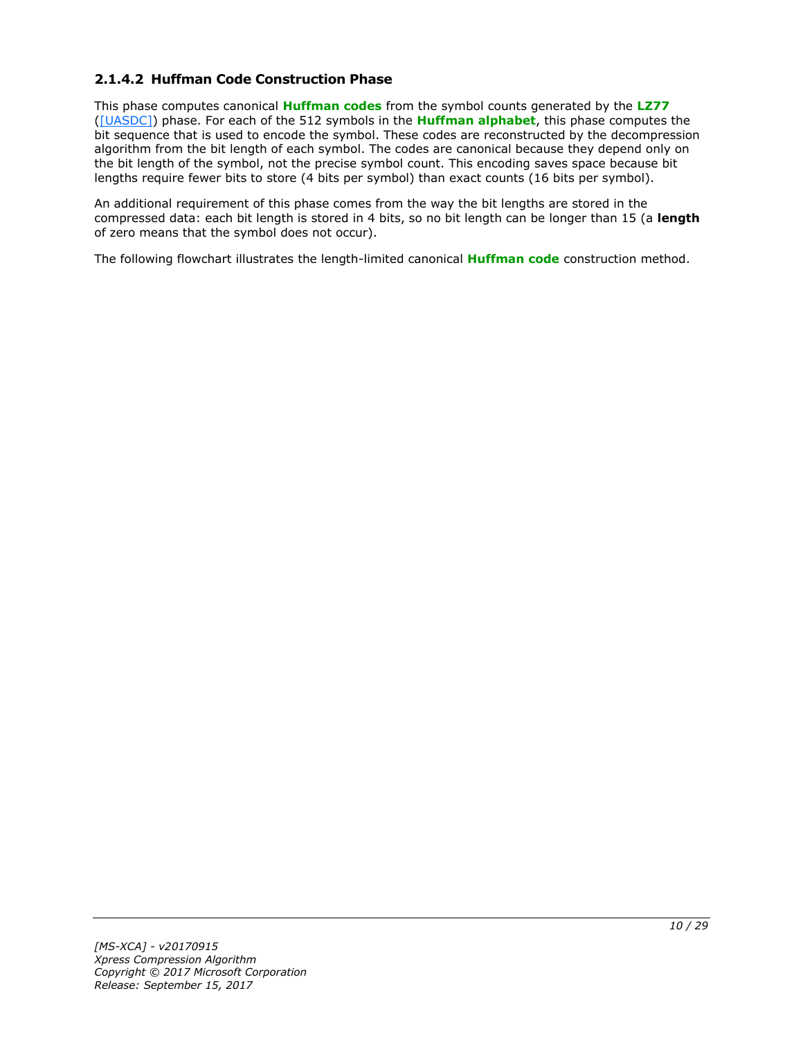# <span id="page-9-0"></span>**2.1.4.2 Huffman Code Construction Phase**

This phase computes canonical **[Huffman codes](#page-4-6)** from the symbol counts generated by the **[LZ77](#page-4-4)** [\(\[UASDC\]\)](https://go.microsoft.com/fwlink/?LinkId=90549) phase. For each of the 512 symbols in the **[Huffman alphabet](#page-4-7)**, this phase computes the bit sequence that is used to encode the symbol. These codes are reconstructed by the decompression algorithm from the bit length of each symbol. The codes are canonical because they depend only on the bit length of the symbol, not the precise symbol count. This encoding saves space because bit lengths require fewer bits to store (4 bits per symbol) than exact counts (16 bits per symbol).

An additional requirement of this phase comes from the way the bit lengths are stored in the compressed data: each bit length is stored in 4 bits, so no bit length can be longer than 15 (a **length** of zero means that the symbol does not occur).

The following flowchart illustrates the length-limited canonical **[Huffman code](#page-4-8)** construction method.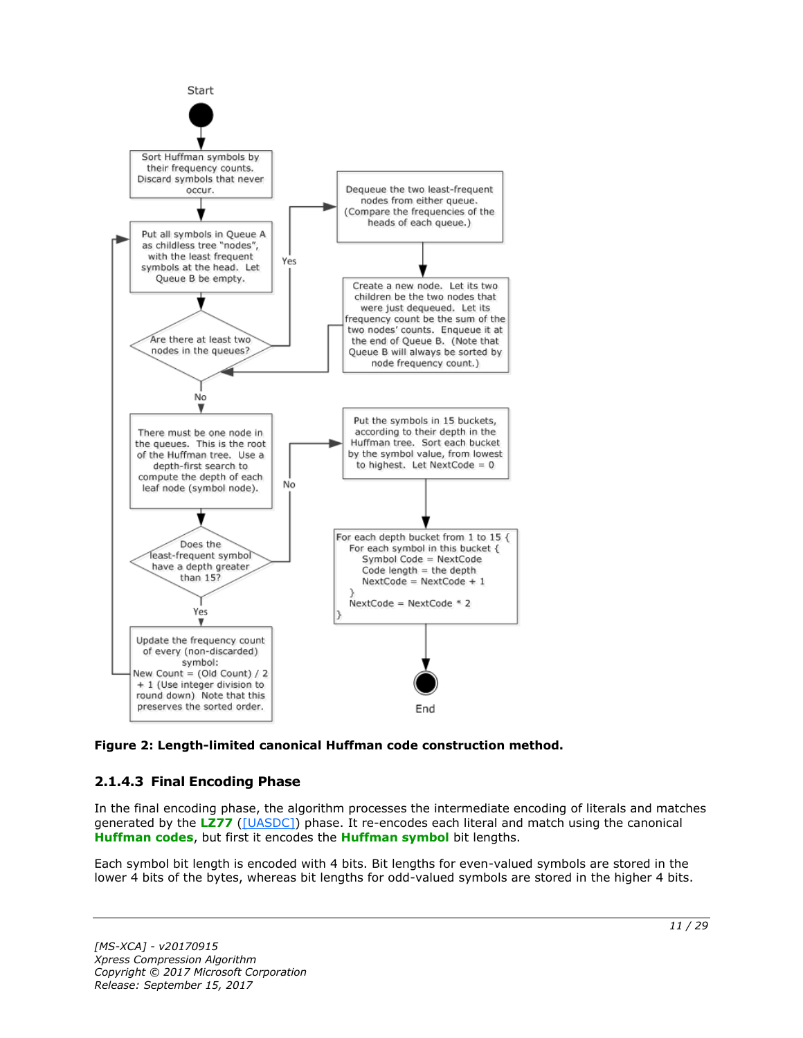

**Figure 2: Length-limited canonical Huffman code construction method.**

# <span id="page-10-0"></span>**2.1.4.3 Final Encoding Phase**

In the final encoding phase, the algorithm processes the intermediate encoding of literals and matches generated by the **[LZ77](#page-4-4)** [\(\[UASDC\]\)](https://go.microsoft.com/fwlink/?LinkId=90549) phase. It re-encodes each literal and match using the canonical **[Huffman codes](#page-4-6)**, but first it encodes the **[Huffman symbol](#page-4-9)** bit lengths.

Each symbol bit length is encoded with 4 bits. Bit lengths for even-valued symbols are stored in the lower 4 bits of the bytes, whereas bit lengths for odd-valued symbols are stored in the higher 4 bits.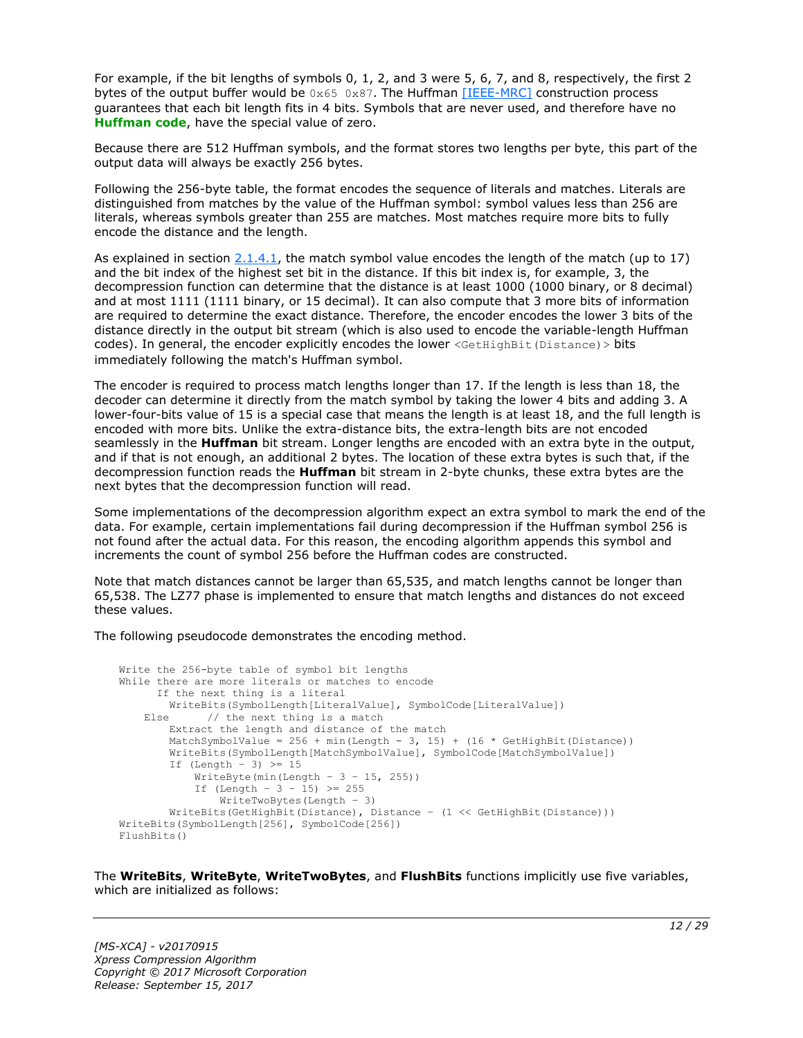For example, if the bit lengths of symbols 0, 1, 2, and 3 were 5, 6, 7, and 8, respectively, the first 2 bytes of the output buffer would be  $0 \times 65$  0x87. The Huffman [\[IEEE-MRC\]](https://go.microsoft.com/fwlink/?LinkId=227659) construction process guarantees that each bit length fits in 4 bits. Symbols that are never used, and therefore have no **[Huffman code](#page-4-8)**, have the special value of zero.

Because there are 512 Huffman symbols, and the format stores two lengths per byte, this part of the output data will always be exactly 256 bytes.

Following the 256-byte table, the format encodes the sequence of literals and matches. Literals are distinguished from matches by the value of the Huffman symbol: symbol values less than 256 are literals, whereas symbols greater than 255 are matches. Most matches require more bits to fully encode the distance and the length.

As explained in section  $2.1.4.1$ , the match symbol value encodes the length of the match (up to 17) and the bit index of the highest set bit in the distance. If this bit index is, for example, 3, the decompression function can determine that the distance is at least 1000 (1000 binary, or 8 decimal) and at most 1111 (1111 binary, or 15 decimal). It can also compute that 3 more bits of information are required to determine the exact distance. Therefore, the encoder encodes the lower 3 bits of the distance directly in the output bit stream (which is also used to encode the variable-length Huffman codes). In general, the encoder explicitly encodes the lower <GetHighBit(Distance) > bits immediately following the match's Huffman symbol.

The encoder is required to process match lengths longer than 17. If the length is less than 18, the decoder can determine it directly from the match symbol by taking the lower 4 bits and adding 3. A lower-four-bits value of 15 is a special case that means the length is at least 18, and the full length is encoded with more bits. Unlike the extra-distance bits, the extra-length bits are not encoded seamlessly in the **Huffman** bit stream. Longer lengths are encoded with an extra byte in the output, and if that is not enough, an additional 2 bytes. The location of these extra bytes is such that, if the decompression function reads the **Huffman** bit stream in 2-byte chunks, these extra bytes are the next bytes that the decompression function will read.

Some implementations of the decompression algorithm expect an extra symbol to mark the end of the data. For example, certain implementations fail during decompression if the Huffman symbol 256 is not found after the actual data. For this reason, the encoding algorithm appends this symbol and increments the count of symbol 256 before the Huffman codes are constructed.

Note that match distances cannot be larger than 65,535, and match lengths cannot be longer than 65,538. The LZ77 phase is implemented to ensure that match lengths and distances do not exceed these values.

The following pseudocode demonstrates the encoding method.

```
Write the 256-byte table of symbol bit lengths
While there are more literals or matches to encode
       If the next thing is a literal
         WriteBits(SymbolLength[LiteralValue], SymbolCode[LiteralValue])
    Else // the next thing is a match
         Extract the length and distance of the match
        MatchSymbolValue = 256 + min(Length - 3, 15) + (16 * GetHighBit(Distance)) WriteBits(SymbolLength[MatchSymbolValue], SymbolCode[MatchSymbolValue])
        If (Length - 3) \geq 15
            WriteByte(min(Length - 3 - 15, 255))
            If (Length - 3 - 15) >= 255
                WriteTwoBytes(Length – 3)
         WriteBits(GetHighBit(Distance), Distance – (1 << GetHighBit(Distance)))
WriteBits(SymbolLength[256], SymbolCode[256])
FlushBits()
```
The **WriteBits**, **WriteByte**, **WriteTwoBytes**, and **FlushBits** functions implicitly use five variables, which are initialized as follows: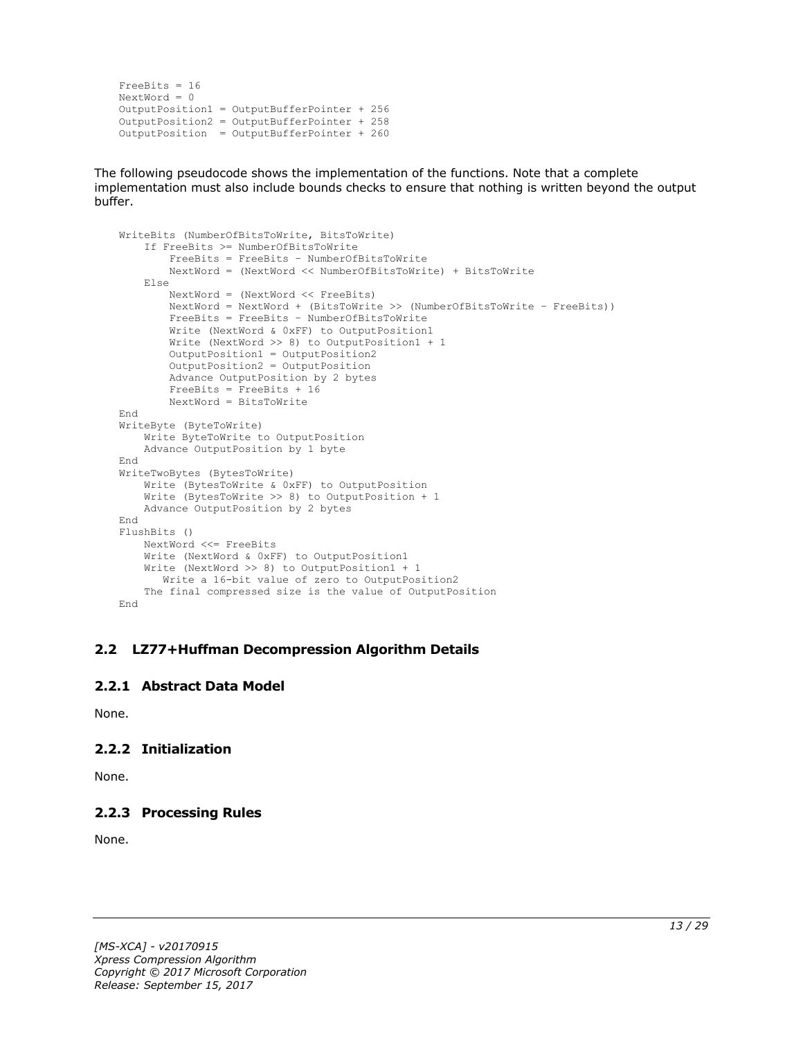```
FreeBits = 16
NextWord = 0OutputPosition1 = OutputBufferPointer + 256
OutputPosition2 = OutputBufferPointer + 258 
OutputPosition = OutputBufferPointer + 260
```
The following pseudocode shows the implementation of the functions. Note that a complete implementation must also include bounds checks to ensure that nothing is written beyond the output buffer.

```
WriteBits (NumberOfBitsToWrite, BitsToWrite)
     If FreeBits >= NumberOfBitsToWrite
         FreeBits = FreeBits – NumberOfBitsToWrite
         NextWord = (NextWord << NumberOfBitsToWrite) + BitsToWrite
     Else
         NextWord = (NextWord << FreeBits)
         NextWord = NextWord + (BitsToWrite >> (NumberOfBitsToWrite – FreeBits))
         FreeBits = FreeBits – NumberOfBitsToWrite
         Write (NextWord & 0xFF) to OutputPosition1
         Write (NextWord >> 8) to OutputPosition1 + 1
         OutputPosition1 = OutputPosition2
         OutputPosition2 = OutputPosition
         Advance OutputPosition by 2 bytes
         FreeBits = FreeBits + 16
         NextWord = BitsToWrite
End
WriteByte (ByteToWrite)
    Write ByteToWrite to OutputPosition
     Advance OutputPosition by 1 byte
End
WriteTwoBytes (BytesToWrite)
     Write (BytesToWrite & 0xFF) to OutputPosition
     Write (BytesToWrite >> 8) to OutputPosition + 1
    Advance OutputPosition by 2 bytes
End
FlushBits ()
     NextWord <<= FreeBits
     Write (NextWord & 0xFF) to OutputPosition1
     Write (NextWord >> 8) to OutputPosition1 + 1
       Write a 16-bit value of zero to OutputPosition2
     The final compressed size is the value of OutputPosition
End
```
#### <span id="page-12-0"></span>**2.2 LZ77+Huffman Decompression Algorithm Details**

#### <span id="page-12-1"></span>**2.2.1 Abstract Data Model**

None.

# <span id="page-12-2"></span>**2.2.2 Initialization**

None.

# <span id="page-12-3"></span>**2.2.3 Processing Rules**

None.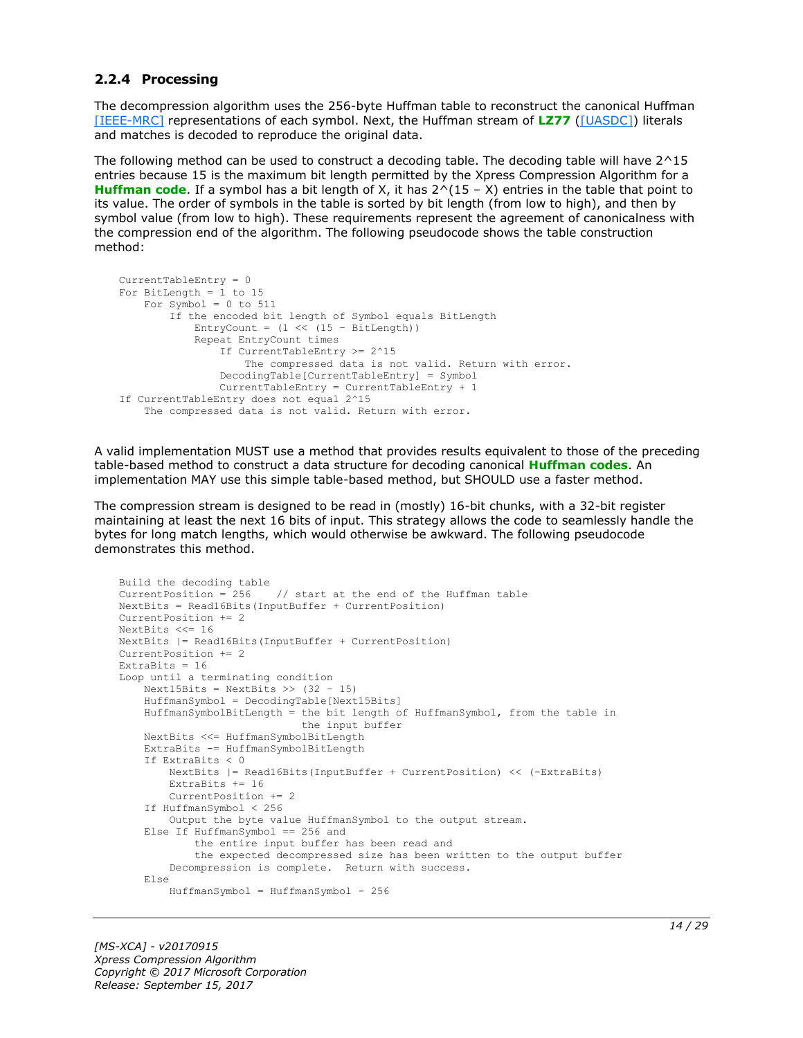#### <span id="page-13-0"></span>**2.2.4 Processing**

The decompression algorithm uses the 256-byte Huffman table to reconstruct the canonical Huffman [\[IEEE-MRC\]](https://go.microsoft.com/fwlink/?LinkId=227659) representations of each symbol. Next, the Huffman stream of **[LZ77](#page-4-4)** [\(\[UASDC\]\)](https://go.microsoft.com/fwlink/?LinkId=90549) literals and matches is decoded to reproduce the original data.

The following method can be used to construct a decoding table. The decoding table will have 2^15 entries because 15 is the maximum bit length permitted by the Xpress Compression Algorithm for a **[Huffman code](#page-4-8)**. If a symbol has a bit length of X, it has 2^(15 – X) entries in the table that point to its value. The order of symbols in the table is sorted by bit length (from low to high), and then by symbol value (from low to high). These requirements represent the agreement of canonicalness with the compression end of the algorithm. The following pseudocode shows the table construction method:

```
CurrentTableEntry = 0
For BitLength = 1 to 15
     For Symbol = 0 to 511
         If the encoded bit length of Symbol equals BitLength
            EntryCount = (1 \ll (15 - \text{BitLength})) Repeat EntryCount times
                 If CurrentTableEntry >= 2^15
                     The compressed data is not valid. Return with error.
                 DecodingTable[CurrentTableEntry] = Symbol
                 CurrentTableEntry = CurrentTableEntry + 1
If CurrentTableEntry does not equal 2^15
     The compressed data is not valid. Return with error.
```
A valid implementation MUST use a method that provides results equivalent to those of the preceding table-based method to construct a data structure for decoding canonical **[Huffman codes](#page-4-6)**. An implementation MAY use this simple table-based method, but SHOULD use a faster method.

The compression stream is designed to be read in (mostly) 16-bit chunks, with a 32-bit register maintaining at least the next 16 bits of input. This strategy allows the code to seamlessly handle the bytes for long match lengths, which would otherwise be awkward. The following pseudocode demonstrates this method.

```
Build the decoding table
CurrentPosition = 256 // start at the end of the Huffman table
NextBits = Read16Bits(InputBuffer + CurrentPosition)
CurrentPosition += 2
NextBits <<= 16
NextBits |= Read16Bits(InputBuffer + CurrentPosition)
CurrentPosition += 2
ExtraBits = 16Loop until a terminating condition
    Next15Bits = NextBits \gg (32 - 15)
     HuffmanSymbol = DecodingTable[Next15Bits]
     HuffmanSymbolBitLength = the bit length of HuffmanSymbol, from the table in
                              the input buffer
     NextBits <<= HuffmanSymbolBitLength
     ExtraBits -= HuffmanSymbolBitLength
     If ExtraBits < 0
         NextBits |= Read16Bits(InputBuffer + CurrentPosition) << (-ExtraBits)
         ExtraBits += 16
         CurrentPosition += 2
     If HuffmanSymbol < 256
        Output the byte value HuffmanSymbol to the output stream.
     Else If HuffmanSymbol == 256 and
             the entire input buffer has been read and
             the expected decompressed size has been written to the output buffer
         Decompression is complete. Return with success.
     Else
         HuffmanSymbol = HuffmanSymbol - 256
```
*[MS-XCA] - v20170915 Xpress Compression Algorithm Copyright © 2017 Microsoft Corporation Release: September 15, 2017*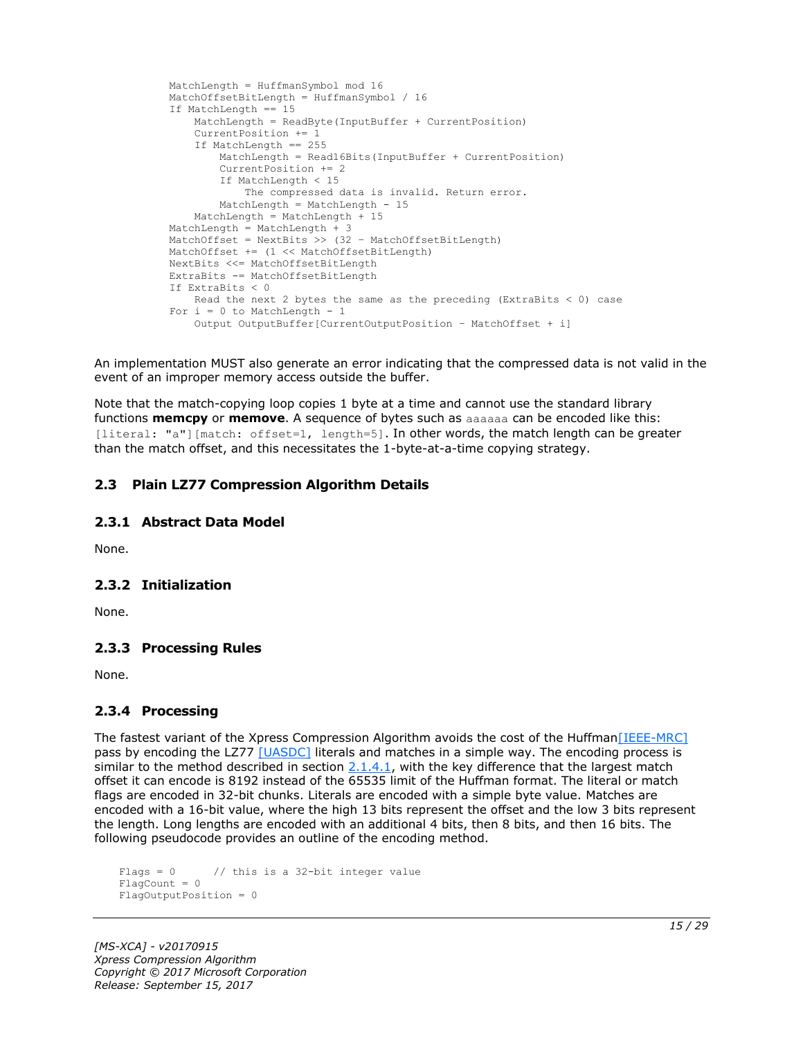```
 MatchLength = HuffmanSymbol mod 16
 MatchOffsetBitLength = HuffmanSymbol / 16
 If MatchLength == 15
    MatchLength = ReadByte(InputBuffer + CurrentPosition)
     CurrentPosition += 1
     If MatchLength == 255
        MatchLength = Read16Bits(InputBuffer + CurrentPosition)
         CurrentPosition += 2
         If MatchLength < 15
             The compressed data is invalid. Return error.
       MatchLength = MatchLength - 15
     MatchLength = MatchLength + 15
 MatchLength = MatchLength + 3
 MatchOffset = NextBits >> (32 – MatchOffsetBitLength)
 MatchOffset += (1 << MatchOffsetBitLength)
 NextBits <<= MatchOffsetBitLength
 ExtraBits -= MatchOffsetBitLength
 If ExtraBits < 0
    Read the next 2 bytes the same as the preceding (ExtraBits < 0) case
For i = 0 to MatchLength - 1
     Output OutputBuffer[CurrentOutputPosition – MatchOffset + i]
```
An implementation MUST also generate an error indicating that the compressed data is not valid in the event of an improper memory access outside the buffer.

Note that the match-copying loop copies 1 byte at a time and cannot use the standard library functions **memcpy** or **memove**. A sequence of bytes such as aaaaaa can be encoded like this: [literal: "a"][match: offset=1, length=5]. In other words, the match length can be greater than the match offset, and this necessitates the 1-byte-at-a-time copying strategy.

### <span id="page-14-0"></span>**2.3 Plain LZ77 Compression Algorithm Details**

#### <span id="page-14-1"></span>**2.3.1 Abstract Data Model**

None.

#### <span id="page-14-2"></span>**2.3.2 Initialization**

None.

#### <span id="page-14-3"></span>**2.3.3 Processing Rules**

None.

#### <span id="page-14-4"></span>**2.3.4 Processing**

The fastest variant of the Xpress Compression Algorithm avoids the cost of the Huffman [IEEE-MRC] pass by encoding the LZ77 [\[UASDC\]](https://go.microsoft.com/fwlink/?LinkId=90549) literals and matches in a simple way. The encoding process is similar to the method described in section  $2.1.4.1$ , with the key difference that the largest match offset it can encode is 8192 instead of the 65535 limit of the Huffman format. The literal or match flags are encoded in 32-bit chunks. Literals are encoded with a simple byte value. Matches are encoded with a 16-bit value, where the high 13 bits represent the offset and the low 3 bits represent the length. Long lengths are encoded with an additional 4 bits, then 8 bits, and then 16 bits. The following pseudocode provides an outline of the encoding method.

```
Flags = 0 // this is a 32-bit integer value
Fla<sub>0</sub>Count = 0
FlagOutputPosition = 0
```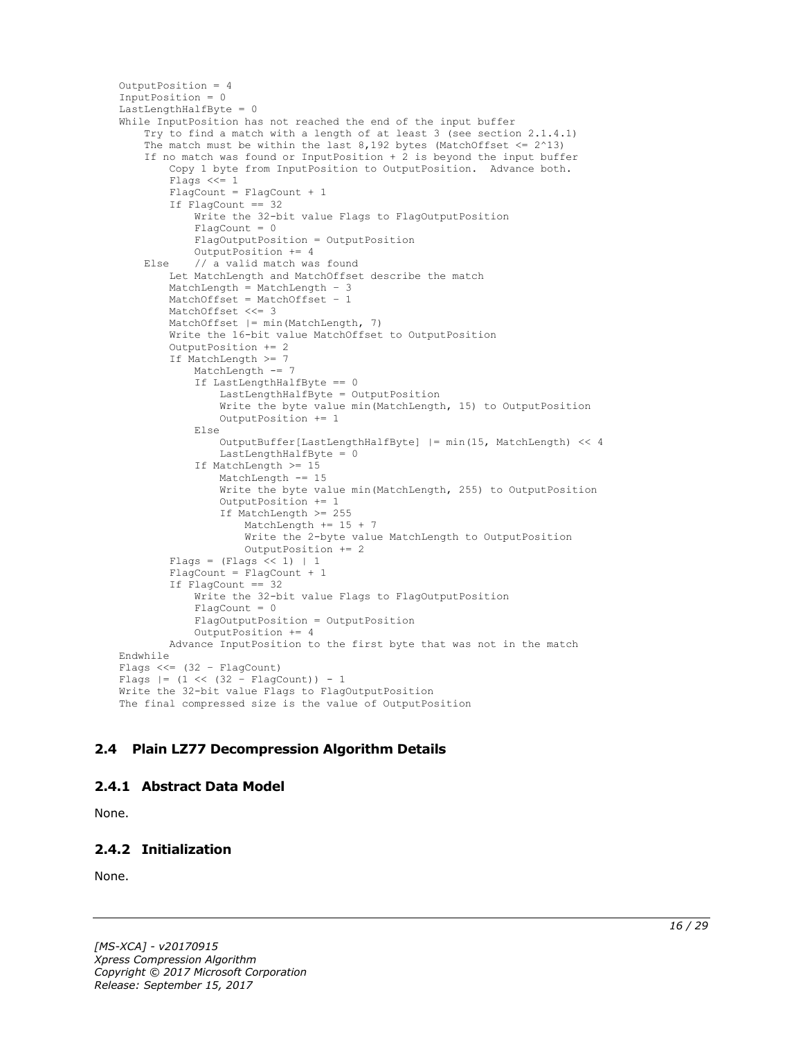```
OutputPosition = 4
InputPosition = 0
LastLengthHalfByte = 0
While InputPosition has not reached the end of the input buffer
     Try to find a match with a length of at least 3 (see section 2.1.4.1)
    The match must be within the last 8,192 bytes (MatchOffset \leq 2^13)
     If no match was found or InputPosition + 2 is beyond the input buffer
         Copy 1 byte from InputPosition to OutputPosition. Advance both.
         Flags <<= 1
        FlagCount = FlagCount + 1 If FlagCount == 32
            Write the 32-bit value Flags to FlagOutputPosition
             FlagCount = 0
             FlagOutputPosition = OutputPosition
             OutputPosition += 4
     Else // a valid match was found
         Let MatchLength and MatchOffset describe the match
         MatchLength = MatchLength – 3
         MatchOffset = MatchOffset – 1
         MatchOffset <<= 3
        MatchOffset | = min(MatchLength, 7) Write the 16-bit value MatchOffset to OutputPosition
         OutputPosition += 2
         If MatchLength >= 7
             MatchLength -= 7
             If LastLengthHalfByte == 0
                 LastLengthHalfByte = OutputPosition
                Write the byte value min(MatchLength, 15) to OutputPosition
                 OutputPosition += 1
             Else
                 OutputBuffer[LastLengthHalfByte] |= min(15, MatchLength) << 4
                LastLengthHalfByte = 0
             If MatchLength >= 15
                 MatchLength -= 15
                 Write the byte value min(MatchLength, 255) to OutputPosition
                 OutputPosition += 1
                If MatchLength >= 255
                     MatchLength += 15 + 7
                    Write the 2-byte value MatchLength to OutputPosition
                     OutputPosition += 2
        Flags = (Flags << 1) | 1 FlagCount = FlagCount + 1
         If FlagCount == 32
             Write the 32-bit value Flags to FlagOutputPosition
            FlaqCount = 0
             FlagOutputPosition = OutputPosition
             OutputPosition += 4
         Advance InputPosition to the first byte that was not in the match
Endwhile
Flags <<= (32 – FlagCount)
Flags |= (1 \lt\lt (32 - \text{FlagCount})) - 1Write the 32-bit value Flags to FlagOutputPosition
The final compressed size is the value of OutputPosition
```
# <span id="page-15-0"></span>**2.4 Plain LZ77 Decompression Algorithm Details**

#### <span id="page-15-1"></span>**2.4.1 Abstract Data Model**

None.

# <span id="page-15-2"></span>**2.4.2 Initialization**

None.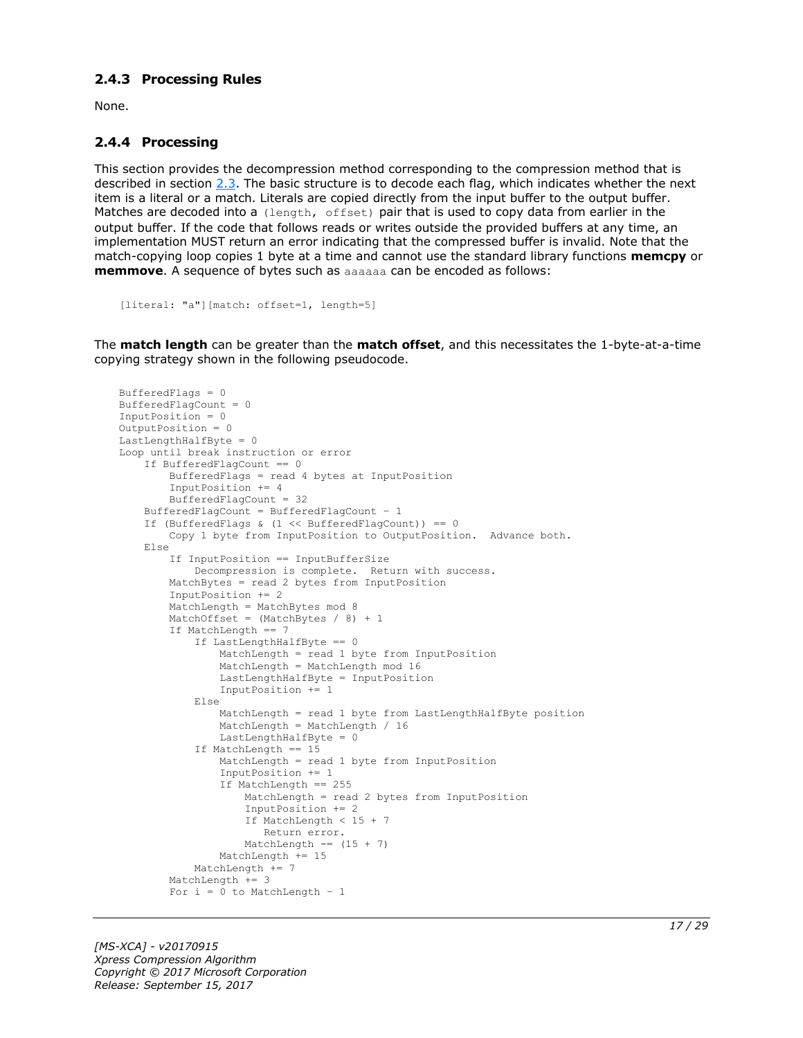#### <span id="page-16-0"></span>**2.4.3 Processing Rules**

None.

#### <span id="page-16-1"></span>**2.4.4 Processing**

This section provides the decompression method corresponding to the compression method that is described in section [2.3.](#page-14-0) The basic structure is to decode each flag, which indicates whether the next item is a literal or a match. Literals are copied directly from the input buffer to the output buffer. Matches are decoded into a (length, offset) pair that is used to copy data from earlier in the output buffer. If the code that follows reads or writes outside the provided buffers at any time, an implementation MUST return an error indicating that the compressed buffer is invalid. Note that the match-copying loop copies 1 byte at a time and cannot use the standard library functions **memcpy** or **memmove**. A sequence of bytes such as aaaaaa can be encoded as follows:

```
[literal: "a"][match: offset=1, length=5]
```
The **match length** can be greater than the **match offset**, and this necessitates the 1-byte-at-a-time copying strategy shown in the following pseudocode.

```
BufferedFlags = 0
BufferedFlagCount = 0
InputPosition = 0
OutputPosition = 0
LastLengthHalfByte = 0Loop until break instruction or error
     If BufferedFlagCount == 0
         BufferedFlags = read 4 bytes at InputPosition
         InputPosition += 4
         BufferedFlagCount = 32
     BufferedFlagCount = BufferedFlagCount – 1
    If (BufferedFlags & (1 \leq \text{BufferedFlagCount})) == 0
         Copy 1 byte from InputPosition to OutputPosition. Advance both.
     Else
         If InputPosition == InputBufferSize
             Decompression is complete. Return with success.
         MatchBytes = read 2 bytes from InputPosition
         InputPosition += 2
        MatchLength = MatchBytes mod 8
        MatchOffset = (MatchBytes / 8) + 1 If MatchLength == 7
             If LastLengthHalfByte == 0
                 MatchLength = read 1 byte from InputPosition
                 MatchLength = MatchLength mod 16
                LastLengthHalfByte = InputPosition
                 InputPosition += 1
             Else
                 MatchLength = read 1 byte from LastLengthHalfByte position
                 MatchLength = MatchLength / 16
                LastLengthHalfByte = 0
             If MatchLength == 15
                 MatchLength = read 1 byte from InputPosition
                 InputPosition += 1
                 If MatchLength == 255
                     MatchLength = read 2 bytes from InputPosition
                    InputPosition += 2
                    If MatchLength < 15 + 7
                       Return error.
                    MatchLength == (15 + 7)
                MathLength += 15 MatchLength += 7
        MatchLength += 3
        For i = 0 to MatchLength - 1
```
*[MS-XCA] - v20170915 Xpress Compression Algorithm Copyright © 2017 Microsoft Corporation Release: September 15, 2017*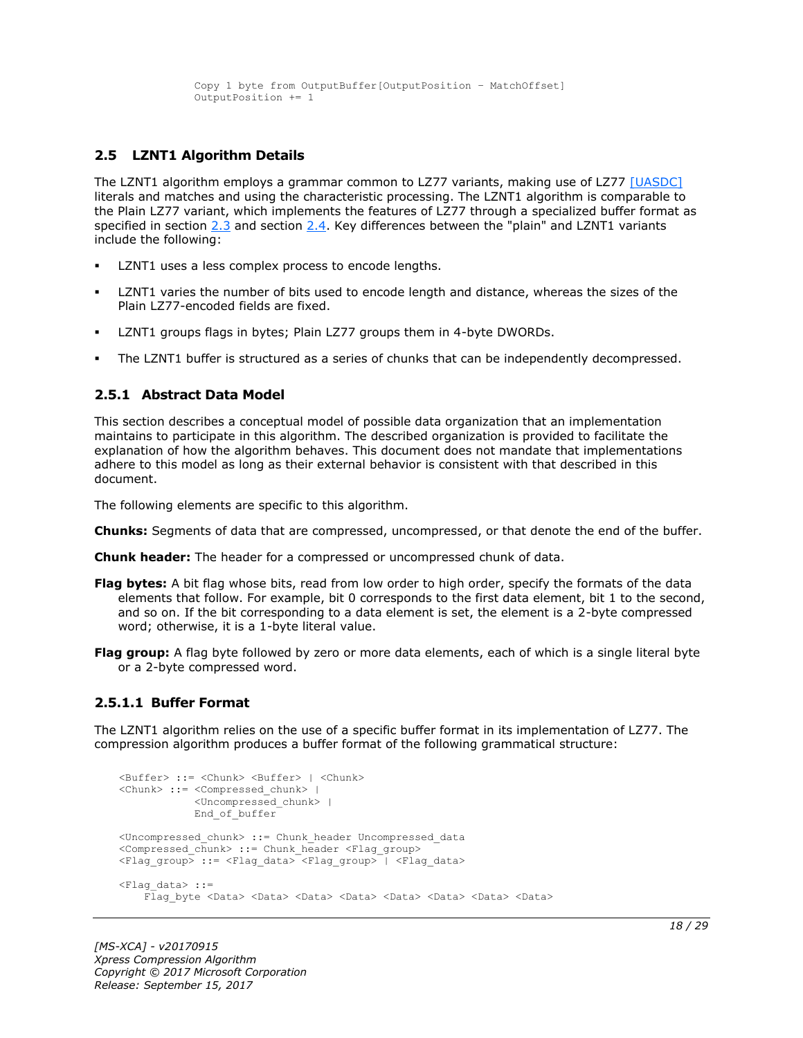```
 Copy 1 byte from OutputBuffer[OutputPosition – MatchOffset]
 OutputPosition += 1
```
# <span id="page-17-0"></span>**2.5 LZNT1 Algorithm Details**

The LZNT1 algorithm employs a grammar common to LZ77 variants, making use of LZ77 [\[UASDC\]](https://go.microsoft.com/fwlink/?LinkId=90549) literals and matches and using the characteristic processing. The LZNT1 algorithm is comparable to the Plain LZ77 variant, which implements the features of LZ77 through a specialized buffer format as specified in section [2.3](#page-14-0) and section [2.4.](#page-15-0) Key differences between the "plain" and LZNT1 variants include the following:

- LZNT1 uses a less complex process to encode lengths.
- LZNT1 varies the number of bits used to encode length and distance, whereas the sizes of the Plain LZ77-encoded fields are fixed.
- LZNT1 groups flags in bytes; Plain LZ77 groups them in 4-byte DWORDs.
- The LZNT1 buffer is structured as a series of chunks that can be independently decompressed.

#### <span id="page-17-1"></span>**2.5.1 Abstract Data Model**

This section describes a conceptual model of possible data organization that an implementation maintains to participate in this algorithm. The described organization is provided to facilitate the explanation of how the algorithm behaves. This document does not mandate that implementations adhere to this model as long as their external behavior is consistent with that described in this document.

The following elements are specific to this algorithm.

- **Chunks:** Segments of data that are compressed, uncompressed, or that denote the end of the buffer.
- **Chunk header:** The header for a compressed or uncompressed chunk of data.
- **Flag bytes:** A bit flag whose bits, read from low order to high order, specify the formats of the data elements that follow. For example, bit 0 corresponds to the first data element, bit 1 to the second, and so on. If the bit corresponding to a data element is set, the element is a 2-byte compressed word; otherwise, it is a 1-byte literal value.
- **Flag group:** A flag byte followed by zero or more data elements, each of which is a single literal byte or a 2-byte compressed word.

#### <span id="page-17-2"></span>**2.5.1.1 Buffer Format**

The LZNT1 algorithm relies on the use of a specific buffer format in its implementation of LZ77. The compression algorithm produces a buffer format of the following grammatical structure:

```
<Buffer> ::= <Chunk> <Buffer> | <Chunk>
<Chunk> ::= <Compressed_chunk> | 
             <Uncompressed_chunk> |
             End_of_buffer
<Uncompressed_chunk> ::= Chunk_header Uncompressed_data
<Compressed chunk> ::= Chunk header <Flag_group>
<Flag_group> ::= <Flag_data> <Flag_group> | <Flag_data>
<Flag_data> ::=
    Flag byte <Data> <Data> <Data> <Data> <Data> <Data> <Data> <Data> <Data> <Data>
```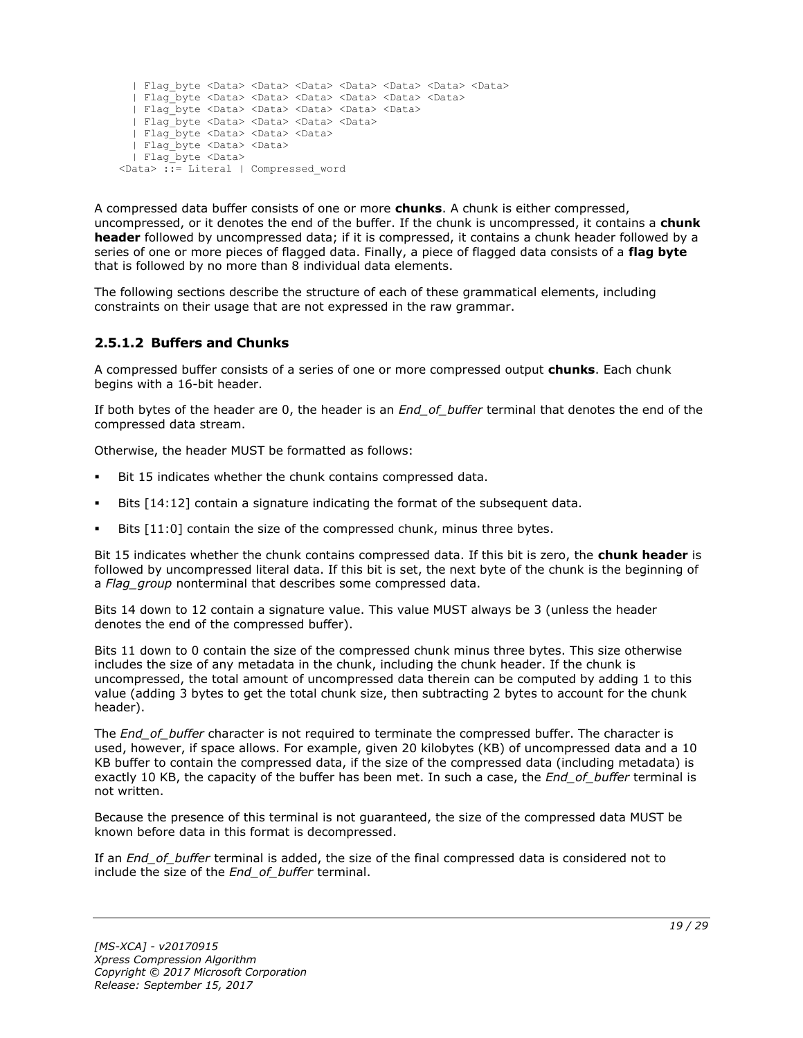```
 | Flag_byte <Data> <Data> <Data> <Data> <Data> <Data> <Data>
   | Flag_byte <Data> <Data> <Data> <Data> <Data> <Data>
   | Flag_byte <Data> <Data> <Data> <Data> <Data>
   | Flag_byte <Data> <Data> <Data> <Data>
   | Flag_byte <Data> <Data> <Data> 
   | Flag_byte <Data> <Data>
   | Flag_byte <Data> 
<Data> ::= Literal | Compressed_word
```
A compressed data buffer consists of one or more **chunks**. A chunk is either compressed, uncompressed, or it denotes the end of the buffer. If the chunk is uncompressed, it contains a **chunk header** followed by uncompressed data; if it is compressed, it contains a chunk header followed by a series of one or more pieces of flagged data. Finally, a piece of flagged data consists of a **flag byte** that is followed by no more than 8 individual data elements.

The following sections describe the structure of each of these grammatical elements, including constraints on their usage that are not expressed in the raw grammar.

# <span id="page-18-0"></span>**2.5.1.2 Buffers and Chunks**

A compressed buffer consists of a series of one or more compressed output **chunks**. Each chunk begins with a 16-bit header.

If both bytes of the header are 0, the header is an *End\_of\_buffer* terminal that denotes the end of the compressed data stream.

Otherwise, the header MUST be formatted as follows:

- Bit 15 indicates whether the chunk contains compressed data.
- Bits [14:12] contain a signature indicating the format of the subsequent data.
- Bits [11:0] contain the size of the compressed chunk, minus three bytes.

Bit 15 indicates whether the chunk contains compressed data. If this bit is zero, the **chunk header** is followed by uncompressed literal data. If this bit is set, the next byte of the chunk is the beginning of a *Flag\_group* nonterminal that describes some compressed data.

Bits 14 down to 12 contain a signature value. This value MUST always be 3 (unless the header denotes the end of the compressed buffer).

Bits 11 down to 0 contain the size of the compressed chunk minus three bytes. This size otherwise includes the size of any metadata in the chunk, including the chunk header. If the chunk is uncompressed, the total amount of uncompressed data therein can be computed by adding 1 to this value (adding 3 bytes to get the total chunk size, then subtracting 2 bytes to account for the chunk header).

The *End\_of\_buffer* character is not required to terminate the compressed buffer. The character is used, however, if space allows. For example, given 20 kilobytes (KB) of uncompressed data and a 10 KB buffer to contain the compressed data, if the size of the compressed data (including metadata) is exactly 10 KB, the capacity of the buffer has been met. In such a case, the *End\_of\_buffer* terminal is not written.

Because the presence of this terminal is not guaranteed, the size of the compressed data MUST be known before data in this format is decompressed.

If an *End\_of\_buffer* terminal is added, the size of the final compressed data is considered not to include the size of the *End\_of\_buffer* terminal.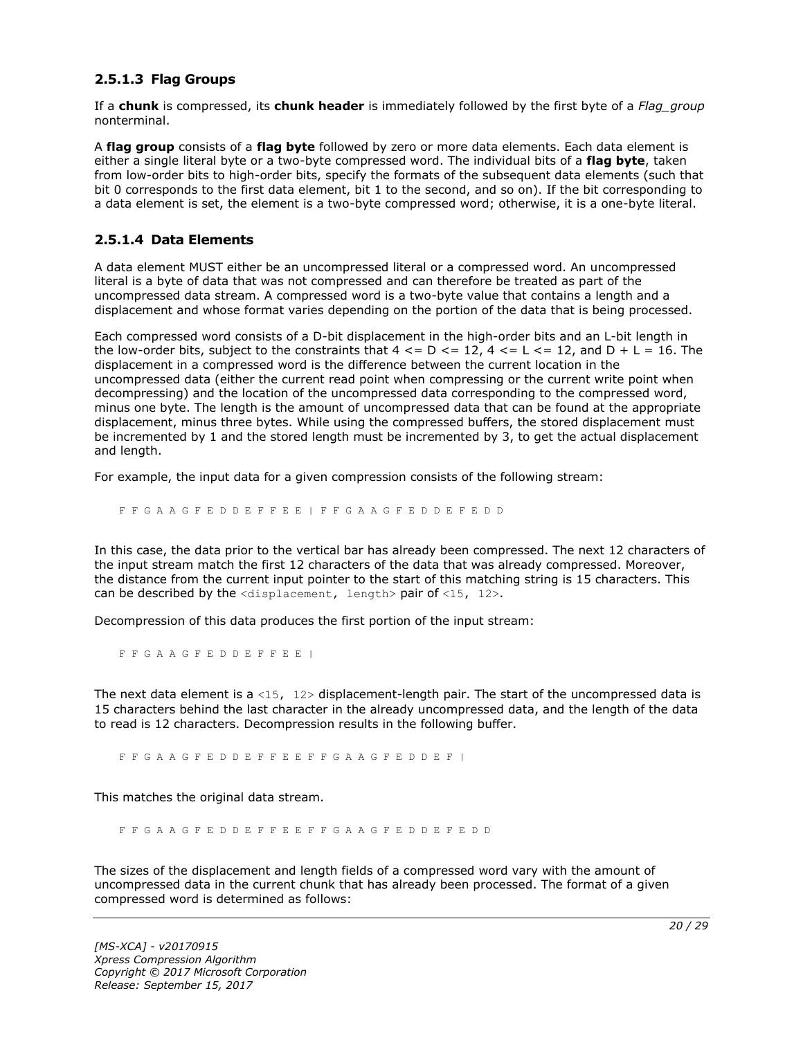### <span id="page-19-0"></span>**2.5.1.3 Flag Groups**

If a **chunk** is compressed, its **chunk header** is immediately followed by the first byte of a *Flag\_group* nonterminal.

A **flag group** consists of a **flag byte** followed by zero or more data elements. Each data element is either a single literal byte or a two-byte compressed word. The individual bits of a **flag byte**, taken from low-order bits to high-order bits, specify the formats of the subsequent data elements (such that bit 0 corresponds to the first data element, bit 1 to the second, and so on). If the bit corresponding to a data element is set, the element is a two-byte compressed word; otherwise, it is a one-byte literal.

#### <span id="page-19-1"></span>**2.5.1.4 Data Elements**

A data element MUST either be an uncompressed literal or a compressed word. An uncompressed literal is a byte of data that was not compressed and can therefore be treated as part of the uncompressed data stream. A compressed word is a two-byte value that contains a length and a displacement and whose format varies depending on the portion of the data that is being processed.

Each compressed word consists of a D-bit displacement in the high-order bits and an L-bit length in the low-order bits, subject to the constraints that  $4 \leq D \leq 12$ ,  $4 \leq L \leq 12$ , and  $D + L = 16$ . The displacement in a compressed word is the difference between the current location in the uncompressed data (either the current read point when compressing or the current write point when decompressing) and the location of the uncompressed data corresponding to the compressed word, minus one byte. The length is the amount of uncompressed data that can be found at the appropriate displacement, minus three bytes. While using the compressed buffers, the stored displacement must be incremented by 1 and the stored length must be incremented by 3, to get the actual displacement and length.

For example, the input data for a given compression consists of the following stream:

F F G A A G F E D D E F F E E | F F G A A G F E D D E F E D D

In this case, the data prior to the vertical bar has already been compressed. The next 12 characters of the input stream match the first 12 characters of the data that was already compressed. Moreover, the distance from the current input pointer to the start of this matching string is 15 characters. This can be described by the  $\langle$ displacement, length> pair of  $\langle$ 15, 12>.

Decompression of this data produces the first portion of the input stream:

F F G A A G F E D D E F F E E |

The next data element is a <15,  $12$  bisplacement-length pair. The start of the uncompressed data is 15 characters behind the last character in the already uncompressed data, and the length of the data to read is 12 characters. Decompression results in the following buffer.

F F G A A G F E D D E F F E E F F G A A G F E D D E F |

This matches the original data stream.

F F G A A G F E D D E F F E E F F G A A G F E D D E F E D D

The sizes of the displacement and length fields of a compressed word vary with the amount of uncompressed data in the current chunk that has already been processed. The format of a given compressed word is determined as follows: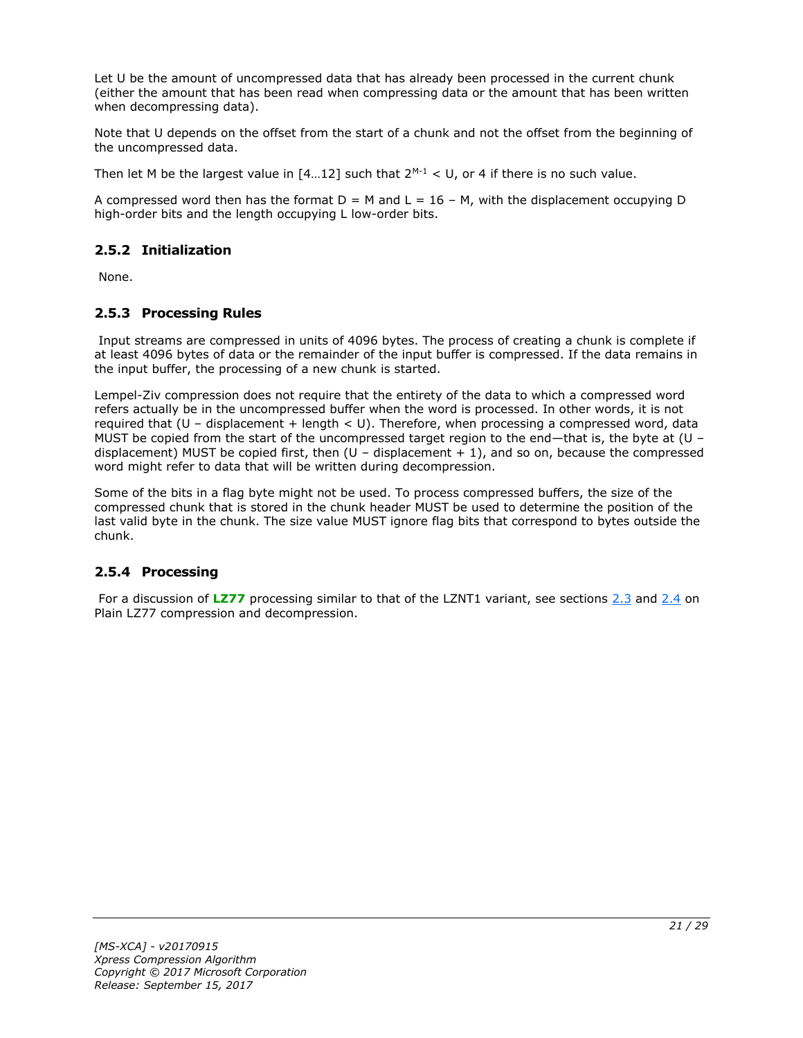Let U be the amount of uncompressed data that has already been processed in the current chunk (either the amount that has been read when compressing data or the amount that has been written when decompressing data).

Note that U depends on the offset from the start of a chunk and not the offset from the beginning of the uncompressed data.

Then let M be the largest value in  $[4...12]$  such that  $2^{M-1} < U$ , or 4 if there is no such value.

A compressed word then has the format  $D = M$  and  $L = 16 - M$ , with the displacement occupying D high-order bits and the length occupying L low-order bits.

# <span id="page-20-0"></span>**2.5.2 Initialization**

None.

### <span id="page-20-1"></span>**2.5.3 Processing Rules**

Input streams are compressed in units of 4096 bytes. The process of creating a chunk is complete if at least 4096 bytes of data or the remainder of the input buffer is compressed. If the data remains in the input buffer, the processing of a new chunk is started.

Lempel-Ziv compression does not require that the entirety of the data to which a compressed word refers actually be in the uncompressed buffer when the word is processed. In other words, it is not required that  $(U -$  displacement + length  $U$ . Therefore, when processing a compressed word, data MUST be copied from the start of the uncompressed target region to the end—that is, the byte at (U – displacement) MUST be copied first, then  $(U -$  displacement  $+ 1)$ , and so on, because the compressed word might refer to data that will be written during decompression.

Some of the bits in a flag byte might not be used. To process compressed buffers, the size of the compressed chunk that is stored in the chunk header MUST be used to determine the position of the last valid byte in the chunk. The size value MUST ignore flag bits that correspond to bytes outside the chunk.

#### <span id="page-20-2"></span>**2.5.4 Processing**

For a discussion of [LZ77](#page-4-4) processing similar to that of the LZNT1 variant, see sections [2.3](#page-14-0) and [2.4](#page-15-0) on Plain LZ77 compression and decompression.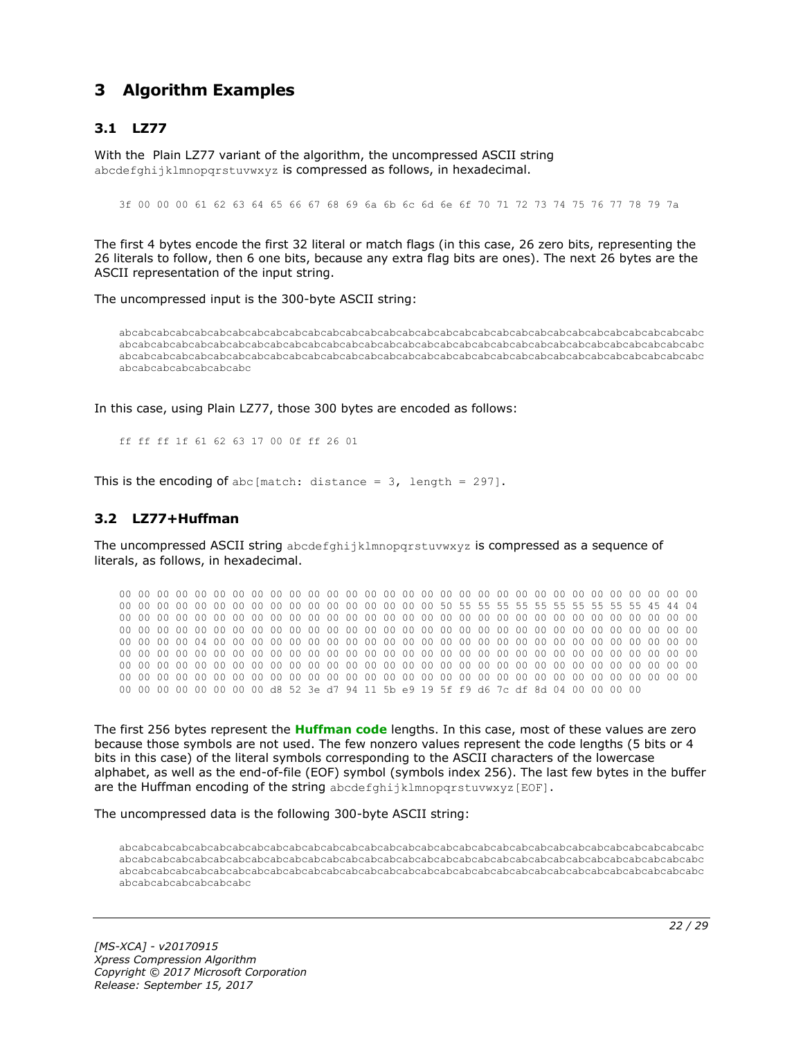# <span id="page-21-0"></span>**3 Algorithm Examples**

# <span id="page-21-1"></span>**3.1 LZ77**

With the Plain LZ77 variant of the algorithm, the uncompressed ASCII string abcdefghijklmnopgrstuvwxyz is compressed as follows, in hexadecimal.

3f 00 00 00 61 62 63 64 65 66 67 68 69 6a 6b 6c 6d 6e 6f 70 71 72 73 74 75 76 77 78 79 7a

The first 4 bytes encode the first 32 literal or match flags (in this case, 26 zero bits, representing the 26 literals to follow, then 6 one bits, because any extra flag bits are ones). The next 26 bytes are the ASCII representation of the input string.

The uncompressed input is the 300-byte ASCII string:

abcabcabcabcabcabcabcabcabcabcabcabcabcabcabcabcabcabcabcabcabcabcabcabcabcabcabcabcabcabcabc abcabcabcabcabcabcabcabcabcabcabcabcabcabcabcabcabcabcabcabcabcabcabcabcabcabcabcabcabcabcabc abcabcabcabcabcabcabcabcabcabcabcabcabcabcabcabcabcabcabcabcabcabcabcabcabcabcabcabcabcabcabc abcabcabcabcabcabcabc

In this case, using Plain LZ77, those 300 bytes are encoded as follows:

ff ff ff 1f 61 62 63 17 00 0f ff 26 01

This is the encoding of abc [match: distance =  $3$ , length = 297].

#### <span id="page-21-2"></span>**3.2 LZ77+Huffman**

The uncompressed ASCII string abcdefghijklmnopqrstuvwxyz is compressed as a sequence of literals, as follows, in hexadecimal.

00 00 00 00 00 00 00 00 00 00 00 00 00 00 00 00 00 00 00 00 00 00 00 00 00 00 00 00 00 00 00 00 00 00 00 00 00 00 00 00 00 00 00 00 00 00 00 00 50 55 55 55 55 55 55 55 55 55 55 45 44 04 00 00 00 00 00 00 00 00 00 00 00 00 00 00 00 00 00 00 00 00 00 00 00 00 00 00 00 00 00 00 00 00 00 00 00 00 00 00 00 00 00 00 00 00 00 00 00 00 00 00 00 00 00 00 00 00 00 00 00 00 00 00 00 00 00 00 04 00 00 00 00 00 00 00 00 00 00 00 00 00 00 00 00 00 00 00 00 00 00 00 00 00 00 00 00 00 00 00 00 00 00 00 00 00 00 00 00 00 00 00 00 00 00 00 00 00 00 00 00 00 00 00 00 00 00 00 00 00 00 00 00 00 00 00 00 00 00 00 00 00 00 00 00 00 00 00 00 00 00 00 00 00 00 00 00 00 00 00 00 00 00 00 00 00 00 00 00 00 00 00 00 00 00 00 00 00 00 00 00 00 00 00 00 00 00 00 00 00 00 00 00 00 00 00 d8 52 3e d7 94 11 5b e9 19 5f f9 d6 7c df 8d 04 00 00 00 00

The first 256 bytes represent the **[Huffman code](#page-4-8)** lengths. In this case, most of these values are zero because those symbols are not used. The few nonzero values represent the code lengths (5 bits or 4 bits in this case) of the literal symbols corresponding to the ASCII characters of the lowercase alphabet, as well as the end-of-file (EOF) symbol (symbols index 256). The last few bytes in the buffer are the Huffman encoding of the string abcdefghijklmnopgrstuvwxyz[EOF].

The uncompressed data is the following 300-byte ASCII string:

abcabcabcabcabcabcabcabcabcabcabcabcabcabcabcabcabcabcabcabcabcabcabcabcabcabcabcabcabcabcabc abcabcabcabcabcabcabcabcabcabcabcabcabcabcabcabcabcabcabcabcabcabcabcabcabcabcabcabcabcabcabc abcabcabcabcabcabcabcabcabcabcabcabcabcabcabcabcabcabcabcabcabcabcabcabcabcabcabcabcabcabcabc abcabcabcabcabcabcabc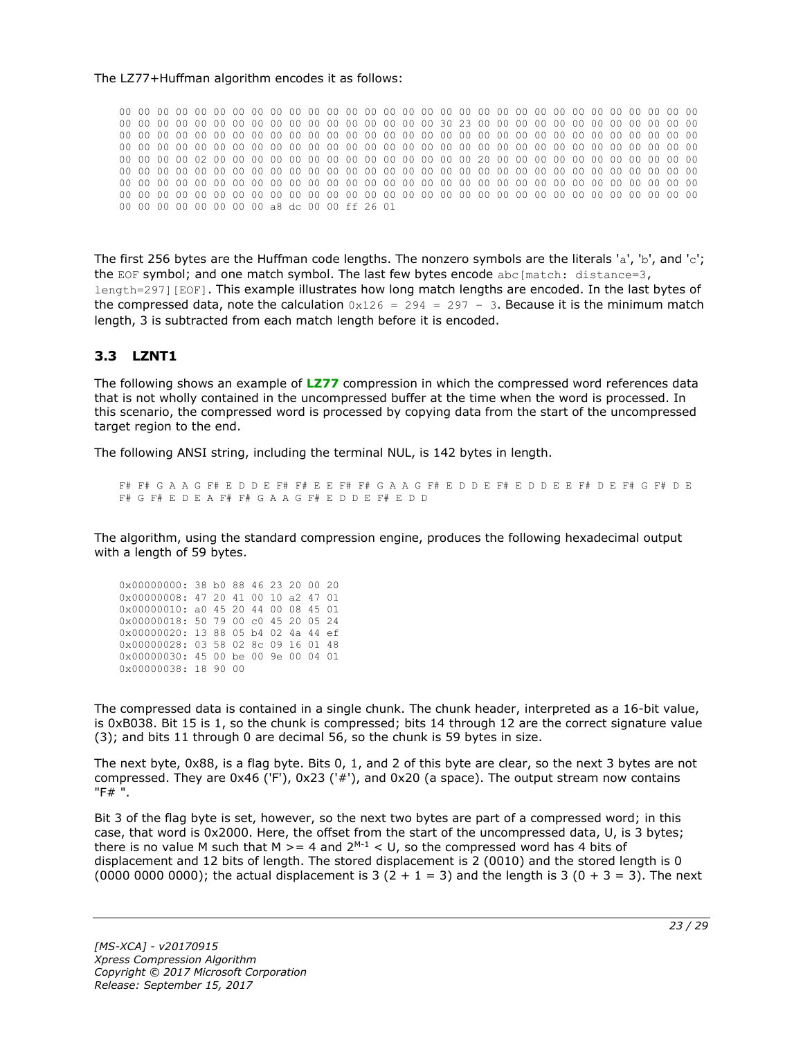#### The LZ77+Huffman algorithm encodes it as follows:

00 00 00 00 00 00 00 00 00 00 00 00 00 00 00 00 00 00 00 00 00 00 00 00 00 00 00 00 00 00 00 00 00 00 00 00 00 00 00 00 00 00 00 00 00 00 00 00 30 23 00 00 00 00 00 00 00 00 00 00 00 00 00 00 00 00 00 00 00 00 00 00 00 00 00 00 00 00 00 00 00 00 00 00 00 00 00 00 00 00 00 00 00 00 00 00 00 00 00 00 00 00 00 00 00 00 00 00 00 00 00 00 00 00 00 00 00 00 00 00 00 00 00 00 00 00 00 00 02 00 00 00 00 00 00 00 00 00 00 00 00 00 00 20 00 00 00 00 00 00 00 00 00 00 00 00 00 00 00 00 00 00 00 00 00 00 00 00 00 00 00 00 00 00 00 00 00 00 00 00 00 00 00 00 00 00 00 00 00 00 00 00 00 00 00 00 00 00 00 00 00 00 00 00 00 00 00 00 00 00 00 00 00 00 00 00 00 00 00 00 00 00 00 00 00 00 00 00 00 00 00 00 00 00 00 00 00 00 00 00 00 00 00 00 00 00 00 00 00 00 00 00 00 00 00 00 a8 dc 00 00 ff 26 01

The first 256 bytes are the Huffman code lengths. The nonzero symbols are the literals 'a', 'b', and 'c'; the EOF symbol; and one match symbol. The last few bytes encode abc[match: distance=3, length=297][EOF]. This example illustrates how long match lengths are encoded. In the last bytes of the compressed data, note the calculation  $0x126 = 294 = 297 - 3$ . Because it is the minimum match length, 3 is subtracted from each match length before it is encoded.

#### <span id="page-22-0"></span>**3.3 LZNT1**

The following shows an example of **[LZ77](#page-4-4)** compression in which the compressed word references data that is not wholly contained in the uncompressed buffer at the time when the word is processed. In this scenario, the compressed word is processed by copying data from the start of the uncompressed target region to the end.

The following ANSI string, including the terminal NUL, is 142 bytes in length.

F# F# G A A G F# E D D E F# F# E E F# F# G A A G F# E D D E F# E D D E E F# D E F# G F# D E F# G F# E D E A F# F# G A A G F# E D D E F# E D D

The algorithm, using the standard compression engine, produces the following hexadecimal output with a length of 59 bytes.

0x00000000: 38 b0 88 46 23 20 00 20 0x00000008: 47 20 41 00 10 a2 47 01 0x00000010: a0 45 20 44 00 08 45 01 0x00000018: 50 79 00 c0 45 20 05 24 0x00000020: 13 88 05 b4 02 4a 44 ef 0x00000028: 03 58 02 8c 09 16 01 48 0x00000030: 45 00 be 00 9e 00 04 01 0x00000038: 18 90 00

The compressed data is contained in a single chunk. The chunk header, interpreted as a 16-bit value, is 0xB038. Bit 15 is 1, so the chunk is compressed; bits 14 through 12 are the correct signature value (3); and bits 11 through 0 are decimal 56, so the chunk is 59 bytes in size.

The next byte, 0x88, is a flag byte. Bits 0, 1, and 2 of this byte are clear, so the next 3 bytes are not compressed. They are 0x46 ('F'), 0x23 ('#'), and 0x20 (a space). The output stream now contains "F# ".

Bit 3 of the flag byte is set, however, so the next two bytes are part of a compressed word; in this case, that word is 0x2000. Here, the offset from the start of the uncompressed data, U, is 3 bytes; there is no value M such that M  $>= 4$  and  $2^{M-1} < U$ , so the compressed word has 4 bits of displacement and 12 bits of length. The stored displacement is 2 (0010) and the stored length is 0 (0000 0000 0000); the actual displacement is 3 (2 + 1 = 3) and the length is 3 (0 + 3 = 3). The next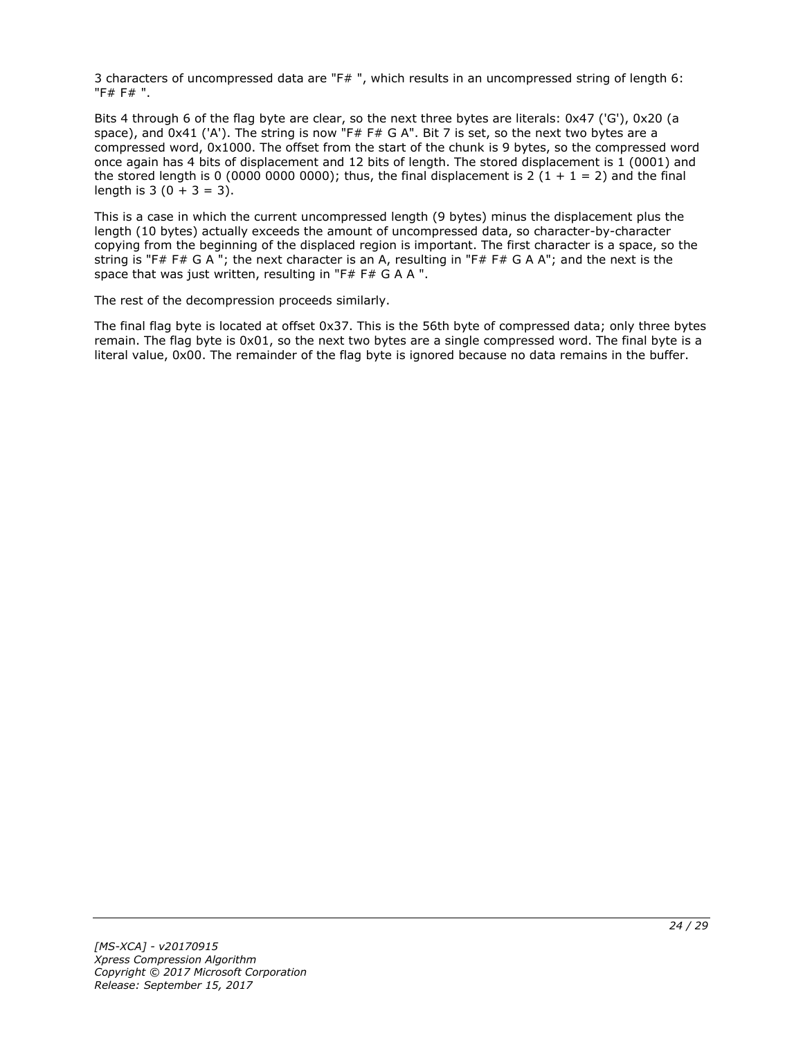3 characters of uncompressed data are "F# ", which results in an uncompressed string of length 6: "F# F# ".

Bits 4 through 6 of the flag byte are clear, so the next three bytes are literals: 0x47 ('G'), 0x20 (a space), and 0x41 ('A'). The string is now "F# F# G A". Bit 7 is set, so the next two bytes are a compressed word, 0x1000. The offset from the start of the chunk is 9 bytes, so the compressed word once again has 4 bits of displacement and 12 bits of length. The stored displacement is 1 (0001) and the stored length is 0 (0000 0000 0000); thus, the final displacement is 2 (1 + 1 = 2) and the final length is  $3(0 + 3 = 3)$ .

This is a case in which the current uncompressed length (9 bytes) minus the displacement plus the length (10 bytes) actually exceeds the amount of uncompressed data, so character-by-character copying from the beginning of the displaced region is important. The first character is a space, so the string is "F# F# G A "; the next character is an A, resulting in "F# F# G A A"; and the next is the space that was just written, resulting in "F# F# G A A ".

The rest of the decompression proceeds similarly.

The final flag byte is located at offset 0x37. This is the 56th byte of compressed data; only three bytes remain. The flag byte is 0x01, so the next two bytes are a single compressed word. The final byte is a literal value, 0x00. The remainder of the flag byte is ignored because no data remains in the buffer.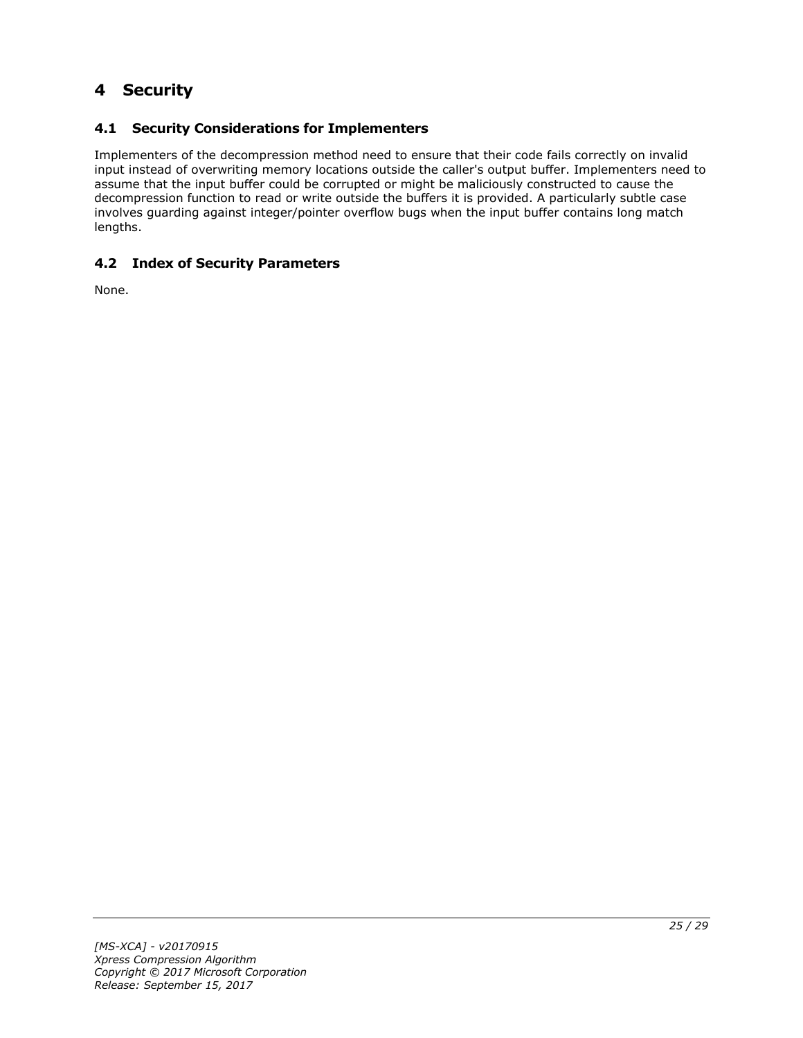# <span id="page-24-0"></span>**4 Security**

# <span id="page-24-1"></span>**4.1 Security Considerations for Implementers**

Implementers of the decompression method need to ensure that their code fails correctly on invalid input instead of overwriting memory locations outside the caller's output buffer. Implementers need to assume that the input buffer could be corrupted or might be maliciously constructed to cause the decompression function to read or write outside the buffers it is provided. A particularly subtle case involves guarding against integer/pointer overflow bugs when the input buffer contains long match lengths.

# <span id="page-24-2"></span>**4.2 Index of Security Parameters**

None.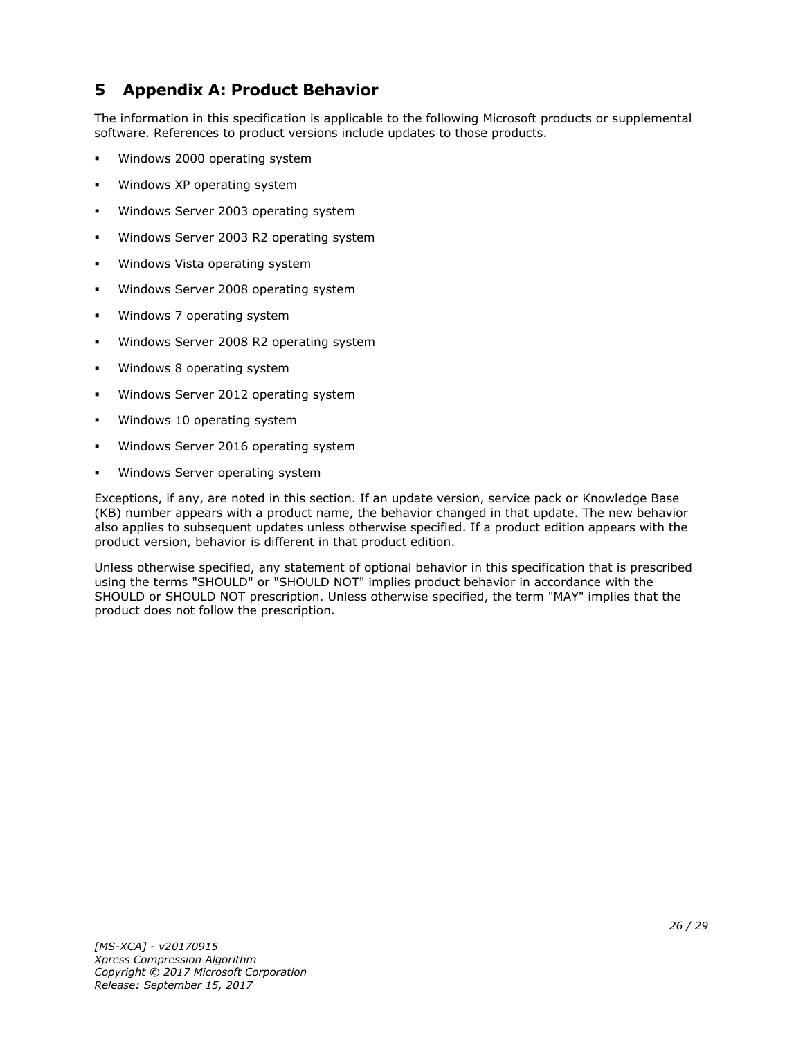# <span id="page-25-0"></span>**5 Appendix A: Product Behavior**

The information in this specification is applicable to the following Microsoft products or supplemental software. References to product versions include updates to those products.

- Windows 2000 operating system
- Windows XP operating system
- Windows Server 2003 operating system
- Windows Server 2003 R2 operating system
- Windows Vista operating system
- Windows Server 2008 operating system
- Windows 7 operating system
- Windows Server 2008 R2 operating system
- Windows 8 operating system
- Windows Server 2012 operating system
- Windows 10 operating system
- Windows Server 2016 operating system
- Windows Server operating system

Exceptions, if any, are noted in this section. If an update version, service pack or Knowledge Base (KB) number appears with a product name, the behavior changed in that update. The new behavior also applies to subsequent updates unless otherwise specified. If a product edition appears with the product version, behavior is different in that product edition.

Unless otherwise specified, any statement of optional behavior in this specification that is prescribed using the terms "SHOULD" or "SHOULD NOT" implies product behavior in accordance with the SHOULD or SHOULD NOT prescription. Unless otherwise specified, the term "MAY" implies that the product does not follow the prescription.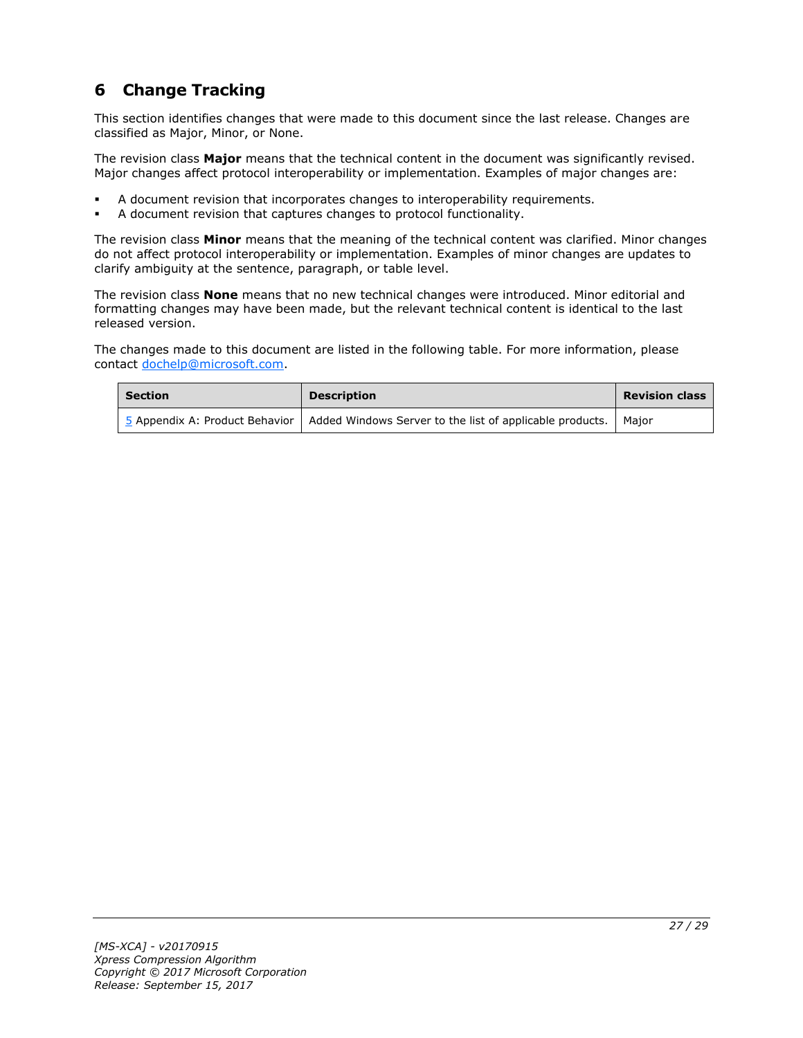# <span id="page-26-0"></span>**6 Change Tracking**

This section identifies changes that were made to this document since the last release. Changes are classified as Major, Minor, or None.

The revision class **Major** means that the technical content in the document was significantly revised. Major changes affect protocol interoperability or implementation. Examples of major changes are:

- A document revision that incorporates changes to interoperability requirements.
- A document revision that captures changes to protocol functionality.

The revision class **Minor** means that the meaning of the technical content was clarified. Minor changes do not affect protocol interoperability or implementation. Examples of minor changes are updates to clarify ambiguity at the sentence, paragraph, or table level.

The revision class **None** means that no new technical changes were introduced. Minor editorial and formatting changes may have been made, but the relevant technical content is identical to the last released version.

The changes made to this document are listed in the following table. For more information, please contact [dochelp@microsoft.com.](mailto:dochelp@microsoft.com)

| <b>Section</b> | <b>Description</b>                                                                                | <b>Revision class</b> |
|----------------|---------------------------------------------------------------------------------------------------|-----------------------|
|                | 5 Appendix A: Product Behavior   Added Windows Server to the list of applicable products.   Major |                       |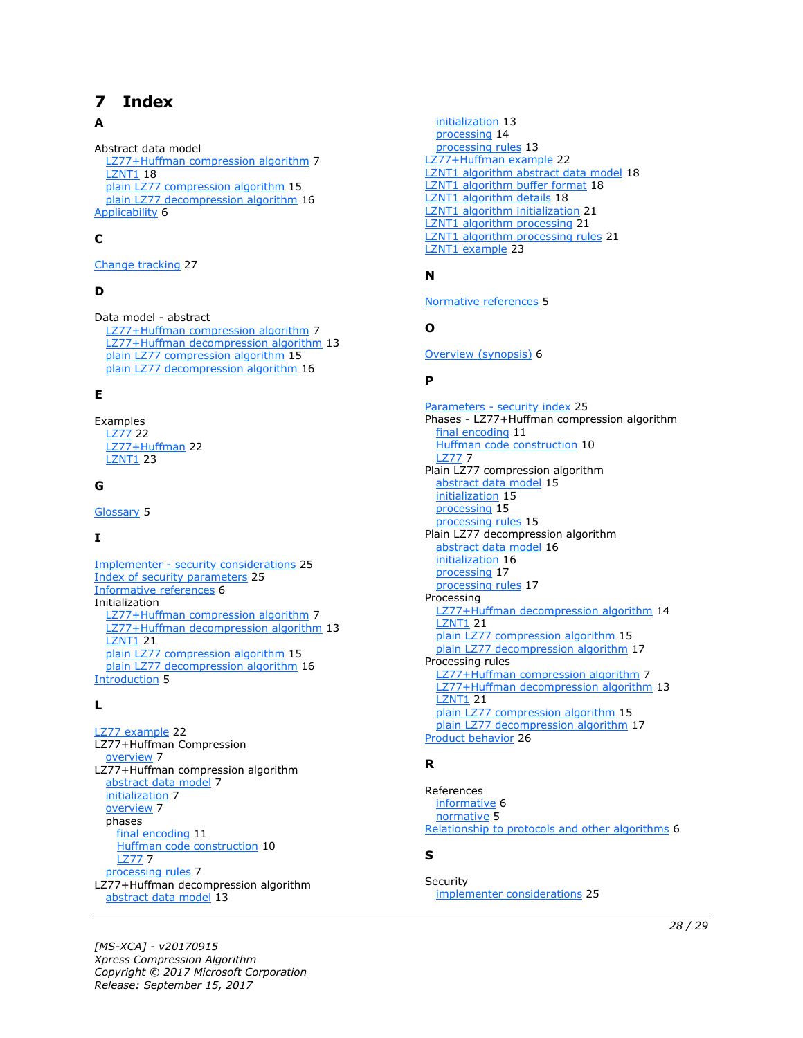# <span id="page-27-0"></span>**7 Index**

### **A**

Abstract data model [LZ77+Huffman compression algorithm](#page-6-2) 7 **[LZNT1](#page-17-1) 18**  [plain LZ77 compression algorithm](#page-14-1) 15 [plain LZ77 decompression algorithm](#page-15-1) 16 [Applicability](#page-5-3) 6

# **C**

[Change tracking](#page-26-0) 27

### **D**

Data model - abstract [LZ77+Huffman compression algorithm](#page-6-2) 7 [LZ77+Huffman decompression algorithm](#page-12-1) 13 [plain LZ77 compression algorithm](#page-14-1) 15 [plain LZ77 decompression algorithm](#page-15-1) 16

#### **E**

Examples [LZ77](#page-21-1) 22 [LZ77+Huffman](#page-21-2) 22 [LZNT1](#page-22-0) 23

### **G**

[Glossary](#page-4-1) 5

# **I**

Implementer - [security considerations](#page-24-1) 25 [Index of security parameters](#page-24-2) 25 [Informative references](#page-5-0) 6 Initialization [LZ77+Huffman compression algorithm](#page-6-3) 7 [LZ77+Huffman decompression algorithm](#page-12-2) 13 [LZNT1](#page-20-0) 21 [plain LZ77 compression algorithm](#page-14-2) 15 [plain LZ77 decompression algorithm](#page-15-2) 16 [Introduction](#page-4-0) 5

#### **L**

[LZ77 example](#page-21-1) 22 LZ77+Huffman Compression [overview](#page-6-1) 7 LZ77+Huffman compression algorithm [abstract data model](#page-6-2) 7 [initialization](#page-6-3) 7 [overview](#page-6-1) 7 phases [final encoding](#page-10-0) 11 [Huffman code construction](#page-9-0) 10 [LZ77](#page-6-6) 7 [processing rules](#page-6-4) 7 LZ77+Huffman decompression algorithm [abstract data model](#page-12-1) 13

 [initialization](#page-12-2) 13 [processing](#page-13-0) 14 [processing rules](#page-12-3) 13 [LZ77+Huffman example](#page-21-2)[LZNT1 algorithm abstract data model](#page-17-1)[LZNT1 algorithm buffer format](#page-17-2)[LZNT1 algorithm details](#page-17-0)[LZNT1 algorithm initialization](#page-20-0)[LZNT1 algorithm processing](#page-20-2)[LZNT1 algorithm processing rules](#page-20-1)[LZNT1 example](#page-22-0) 23

#### **N**

[Normative references](#page-4-3) 5

#### **O**

[Overview \(synopsis\)](#page-5-1) 6

#### **P**

Parameters - [security index](#page-24-2) 25 Phases - LZ77+Huffman compression algorithm [final encoding](#page-10-0) 11 [Huffman code construction](#page-9-0) 10 [LZ77](#page-6-6) 7 Plain LZ77 compression algorithm [abstract data model](#page-14-1) 15 [initialization](#page-14-2) 15 [processing](#page-14-4) 15 [processing rules](#page-14-3) 15 Plain LZ77 decompression algorithm [abstract data model](#page-15-1) 16 [initialization](#page-15-2) 16 [processing](#page-16-1) 17 [processing rules](#page-16-0) 17 Processing [LZ77+Huffman decompression algorithm](#page-13-0) 14 [LZNT1](#page-20-2) 21 [plain LZ77 compression algorithm](#page-14-4) 15 [plain LZ77 decompression algorithm](#page-16-1) 17 Processing rules [LZ77+Huffman compression algorithm](#page-6-4) 7 [LZ77+Huffman decompression algorithm](#page-12-3) 13 **[LZNT1](#page-20-1) 21**  [plain LZ77 compression algorithm](#page-14-3) 15 [plain LZ77 decompression algorithm](#page-16-0) 17 [Product behavior](#page-25-0) 26

#### **R**

References [informative](#page-5-0) 6 [normative](#page-4-3) 5 [Relationship to protocols and other algorithms](#page-5-2) 6

#### **S**

**Security** [implementer considerations](#page-24-1) 25

*[MS-XCA] - v20170915 Xpress Compression Algorithm Copyright © 2017 Microsoft Corporation Release: September 15, 2017*